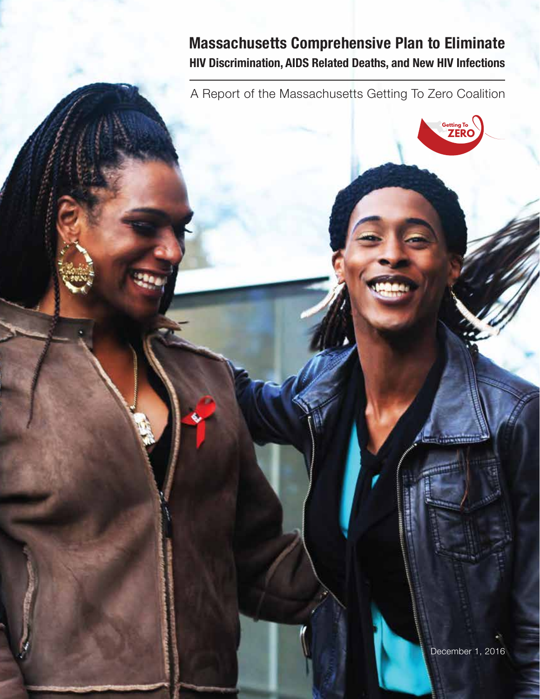## **Massachusetts Comprehensive Plan to Eliminate HIV Discrimination, AIDS Related Deaths, and New HIV Infections**

A Report of the Massachusetts Getting To Zero Coalition

**Getting To ZERO**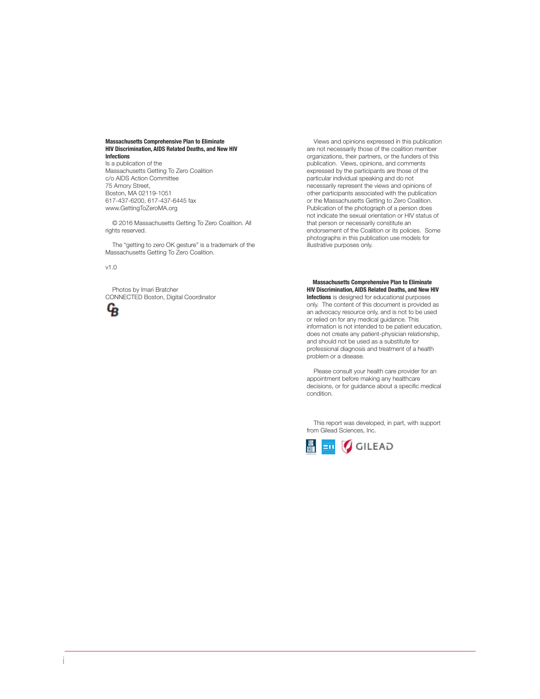#### **Massachusetts Comprehensive Plan to Eliminate HIV Discrimination, AIDS Related Deaths, and New HIV Infections**

Is a publication of the Massachusetts Getting To Zero Coalition c/o AIDS Action Committee 75 Amory Street, Boston, MA 02119-1051 617-437-6200, 617-437-6445 fax www.GettingToZeroMA.org

 © 2016 Massachusetts Getting To Zero Coalition. All rights reserved.

 The "getting to zero OK gesture" is a trademark of the Massachusetts Getting To Zero Coalition.

v1.0

 Photos by Imari Bratcher CONNECTED Boston, Digital Coordinator



 Views and opinions expressed in this publication are not necessarily those of the coalition member organizations, their partners, or the funders of this publication. Views, opinions, and comments expressed by the participants are those of the particular individual speaking and do not necessarily represent the views and opinions of other participants associated with the publication or the Massachusetts Getting to Zero Coalition. Publication of the photograph of a person does not indicate the sexual orientation or HIV status of that person or necessarily constitute an endorsement of the Coalition or its policies. Some photographs in this publication use models for illustrative purposes only.

 **Massachusetts Comprehensive Plan to Eliminate HIV Discrimination, AIDS Related Deaths, and New HIV Infections** is designed for educational purposes only. The content of this document is provided as an advocacy resource only, and is not to be used or relied on for any medical guidance. This information is not intended to be patient education, does not create any patient-physician relationship, and should not be used as a substitute for professional diagnosis and treatment of a health problem or a disease.

 Please consult your health care provider for an appointment before making any healthcare decisions, or for guidance about a specific medical condition.

 This report was developed, in part, with support from Gilead Sciences, Inc.

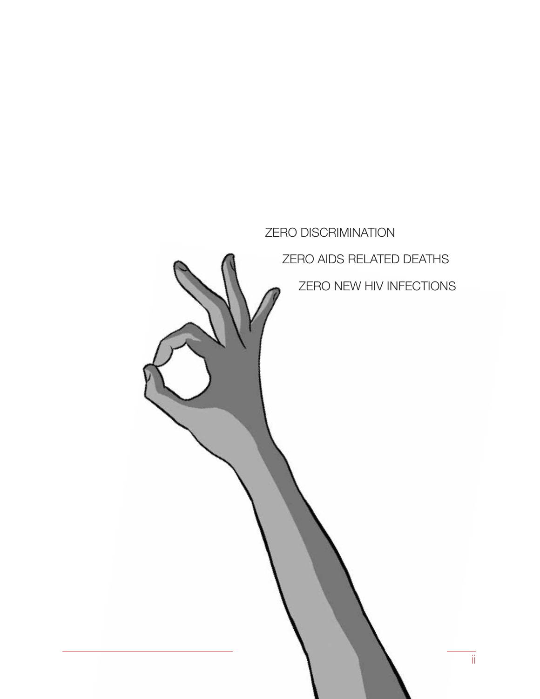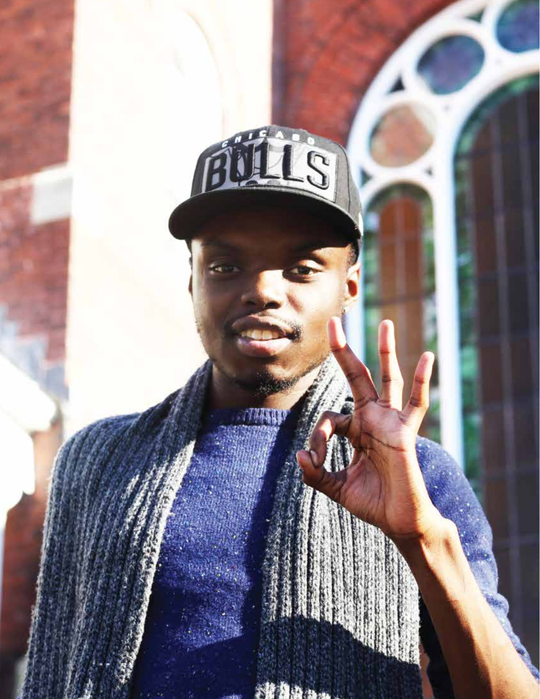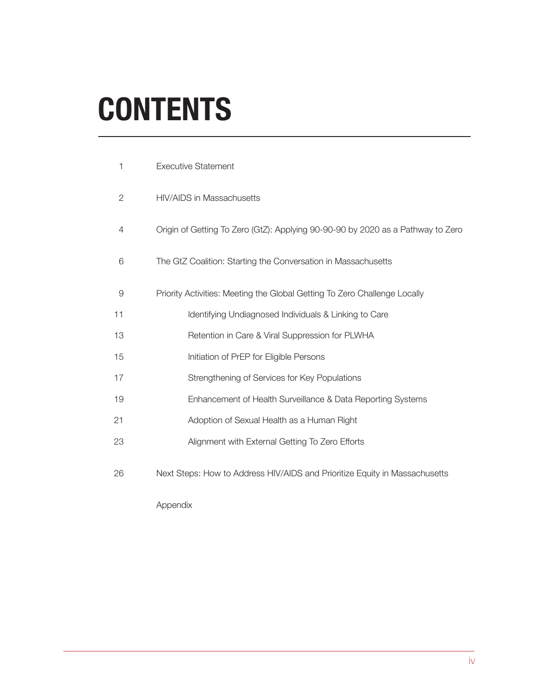# **CONTENTS**

| 1              | <b>Executive Statement</b>                                                      |
|----------------|---------------------------------------------------------------------------------|
| 2              | HIV/AIDS in Massachusetts                                                       |
| $\overline{4}$ | Origin of Getting To Zero (GtZ): Applying 90-90-90 by 2020 as a Pathway to Zero |
| 6              | The GtZ Coalition: Starting the Conversation in Massachusetts                   |
| 9              | Priority Activities: Meeting the Global Getting To Zero Challenge Locally       |
| 11             | Identifying Undiagnosed Individuals & Linking to Care                           |
| 13             | Retention in Care & Viral Suppression for PLWHA                                 |
| 15             | Initiation of PrEP for Eligible Persons                                         |
| 17             | Strengthening of Services for Key Populations                                   |
| 19             | Enhancement of Health Surveillance & Data Reporting Systems                     |
| 21             | Adoption of Sexual Health as a Human Right                                      |
| 23             | Alignment with External Getting To Zero Efforts                                 |
| 26             | Next Steps: How to Address HIV/AIDS and Prioritize Equity in Massachusetts      |

Appendix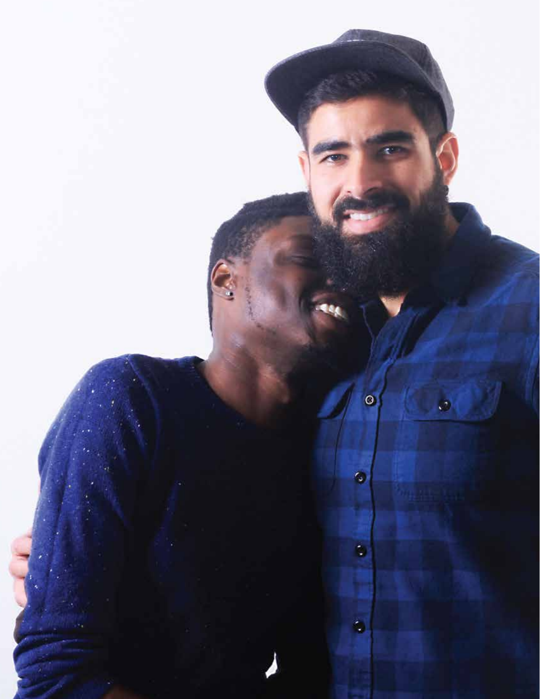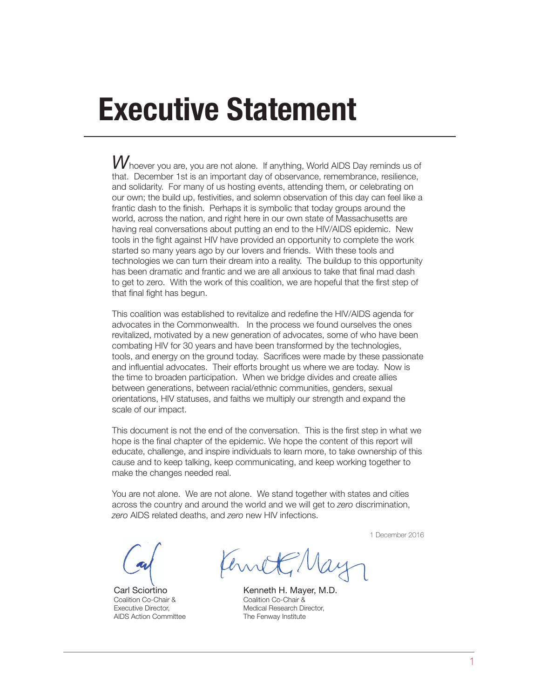# **Executive Statement**

Whoever you are, you are not alone. If anything, World AIDS Day reminds us of that. December 1st is an important day of observance, remembrance, resilience, and solidarity. For many of us hosting events, attending them, or celebrating on our own; the build up, festivities, and solemn observation of this day can feel like a frantic dash to the finish. Perhaps it is symbolic that today groups around the world, across the nation, and right here in our own state of Massachusetts are having real conversations about putting an end to the HIV/AIDS epidemic. New tools in the fight against HIV have provided an opportunity to complete the work started so many years ago by our lovers and friends. With these tools and technologies we can turn their dream into a reality. The buildup to this opportunity has been dramatic and frantic and we are all anxious to take that final mad dash to get to zero. With the work of this coalition, we are hopeful that the first step of that final fight has begun.

This coalition was established to revitalize and redefine the HIV/AIDS agenda for advocates in the Commonwealth. In the process we found ourselves the ones revitalized, motivated by a new generation of advocates, some of who have been combating HIV for 30 years and have been transformed by the technologies, tools, and energy on the ground today. Sacrifices were made by these passionate and influential advocates. Their efforts brought us where we are today. Now is the time to broaden participation. When we bridge divides and create allies between generations, between racial/ethnic communities, genders, sexual orientations, HIV statuses, and faiths we multiply our strength and expand the scale of our impact.

This document is not the end of the conversation. This is the first step in what we hope is the final chapter of the epidemic. We hope the content of this report will educate, challenge, and inspire individuals to learn more, to take ownership of this cause and to keep talking, keep communicating, and keep working together to make the changes needed real.

You are not alone. We are not alone. We stand together with states and cities across the country and around the world and we will get to *zero* discrimination, *zero* AIDS related deaths, and *zero* new HIV infections.

1 December 2016

Carl Sciortino Coalition Co-Chair & Executive Director, AIDS Action Committee

Kenneth H. Mayer, M.D. Coalition Co-Chair & Medical Research Director, The Fenway Institute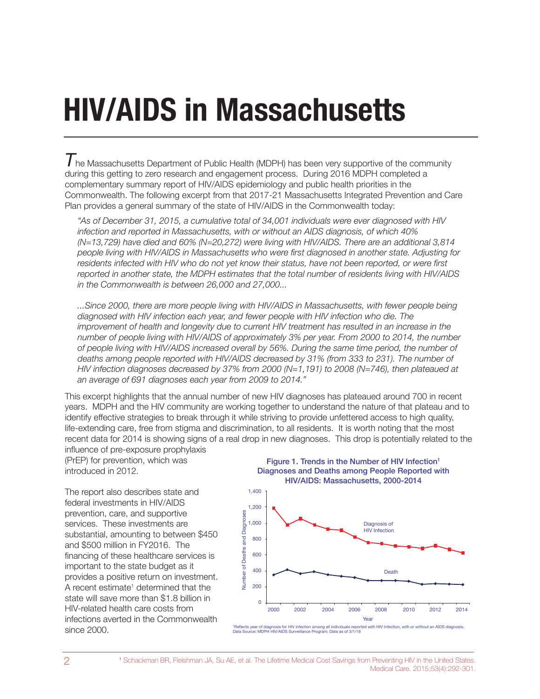# **HIV/AIDS in Massachusetts**

 $\overline{\cal I}$ he Massachusetts Department of Public Health (MDPH) has been very supportive of the community during this getting to zero research and engagement process. During 2016 MDPH completed a complementary summary report of HIV/AIDS epidemiology and public health priorities in the Commonwealth. The following excerpt from that 2017-21 Massachusetts Integrated Prevention and Care Plan provides a general summary of the state of HIV/AIDS in the Commonwealth today:

*"As of December 31, 2015, a cumulative total of 34,001 individuals were ever diagnosed with HIV infection and reported in Massachusetts, with or without an AIDS diagnosis, of which 40% (N=13,729) have died and 60% (N=20,272) were living with HIV/AIDS. There are an additional 3,814 people living with HIV/AIDS in Massachusetts who were first diagnosed in another state. Adjusting for*  residents infected with HIV who do not yet know their status, have not been reported, or were first *reported in another state, the MDPH estimates that the total number of residents living with HIV/AIDS in the Commonwealth is between 26,000 and 27,000...*

*...Since 2000, there are more people living with HIV/AIDS in Massachusetts, with fewer people being diagnosed with HIV infection each year, and fewer people with HIV infection who die. The improvement of health and longevity due to current HIV treatment has resulted in an increase in the number of people living with HIV/AIDS of approximately 3% per year. From 2000 to 2014, the number of people living with HIV/AIDS increased overall by 56%. During the same time period, the number of*  deaths among people reported with HIV/AIDS decreased by 31% (from 333 to 231). The number of *HIV infection diagnoses decreased by 37% from 2000 (N=1,191) to 2008 (N=746), then plateaued at an average of 691 diagnoses each year from 2009 to 2014."*

influence of pre-exposure prophylaxis This excerpt highlights that the annual number of new HIV diagnoses has plateaued around 700 in recent years. MDPH and the HIV community are working together to understand the nature of that plateau and to identify effective strategies to break through it while striving to provide unfettered access to high quality, life-extending care, free from stigma and discrimination, to all residents. It is worth noting that the most recent data for 2014 is showing signs of a real drop in new diagnoses. This drop is potentially related to the

(PrEP) for prevention, which was introduced in 2012.

The report also describes state and federal investments in HIV/AIDS prevention, care, and supportive services. These investments are substantial, amounting to between \$450 and \$500 million in FY2016. The financing of these healthcare services is important to the state budget as it provides a positive return on investment. A recent estimate<sup>1</sup> determined that the state will save more than \$1.8 billion in HIV-related health care costs from infections averted in the Commonwealth since 2000.





'Reflects year of diagnosis for HIV infection among all individuals reported with HIV Infection, with or without an AIDS diagnosis.<br>Data Source: MDPH HIV/AIDS Surveillance Program; Data as of 3/1/16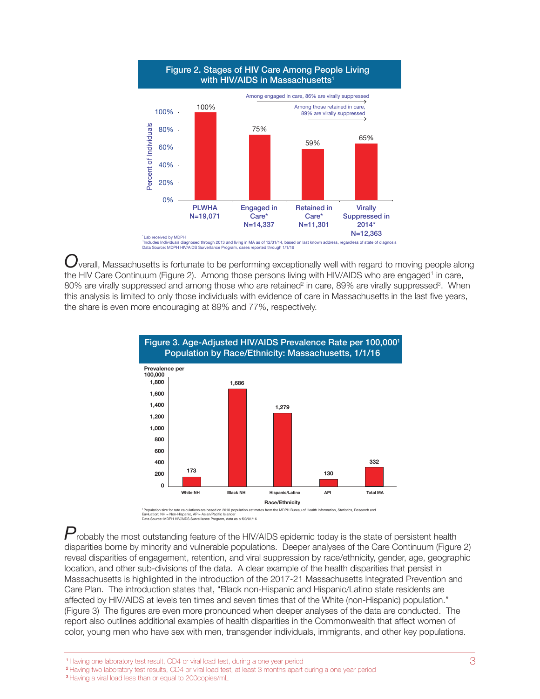

<sup>1</sup> Includes Individuals diagnosed through 2013 and living in MA as of 12/31/14, based on last known address, regardless of state of diagnosis Data Source: MDPH HIV/AIDS Surveillance Program, cases reported through 1/1/16

*O*verall, Massachusetts is fortunate to be performing exceptionally well with regard to moving people along the HIV Care Continuum (Figure 2). Among those persons living with HIV/AIDS who are engaged<sup>1</sup> in care, 80% are virally suppressed and among those who are retained<sup>2</sup> in care, 89% are virally suppressed<sup>3</sup>. When this analysis is limited to only those individuals with evidence of care in Massachusetts in the last five years, the share is even more encouraging at 89% and 77%, respectively.



Figure 3. Age-Adjusted HIV/AIDS Prevalence Rate per 100,0001

s from the MDPH Bureau of Health Information, Statistics, Research and Eavision; Size for rate calculations are based on 2010 pop<br>East NH = Non-Hispanic, API= Asian/Pacific Islander<br>The MDDH HIMAIDS Surveillance Drogram, data ca naidiriusi<br>1. data as o f03/01/16

 $P$ robably the most outstanding feature of the HIV/AIDS epidemic today is the state of persistent health disparities borne by minority and vulnerable populations. Deeper analyses of the Care Continuum (Figure 2) reveal disparities of engagement, retention, and viral suppression by race/ethnicity, gender, age, geographic location, and other sub-divisions of the data. A clear example of the health disparities that persist in Massachusetts is highlighted in the introduction of the 2017-21 Massachusetts Integrated Prevention and Care Plan. The introduction states that, "Black non-Hispanic and Hispanic/Latino state residents are affected by HIV/AIDS at levels ten times and seven times that of the White (non-Hispanic) population." (Figure 3) The figures are even more pronounced when deeper analyses of the data are conducted. The report also outlines additional examples of health disparities in the Commonwealth that affect women of color, young men who have sex with men, transgender individuals, immigrants, and other key populations.

<sup>1</sup> Having one laboratory test result, CD4 or viral load test, during a one year period

<sup>2</sup> Having two laboratory test results, CD4 or viral load test, at least 3 months apart during a one year period <sup>3</sup> Having a viral load less than or equal to 200copies/mL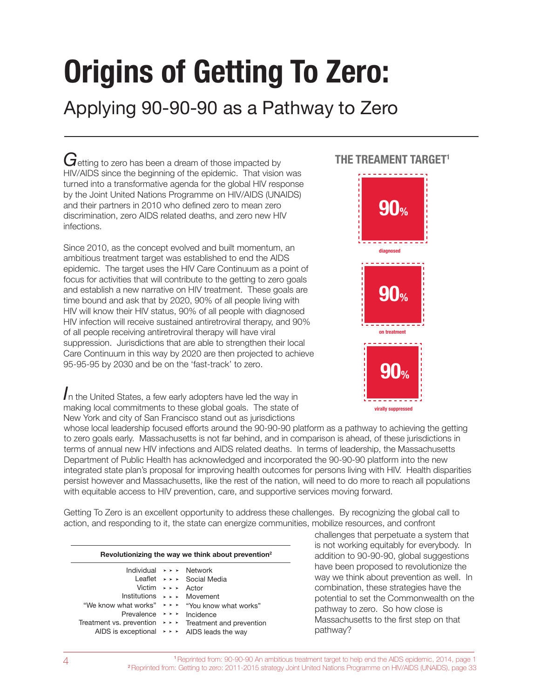# **Origins of Getting To Zero:**

## Applying 90-90-90 as a Pathway to Zero

Getting to zero has been a dream of those impacted by HIV/AIDS since the beginning of the epidemic. That vision was turned into a transformative agenda for the global HIV response by the Joint United Nations Programme on HIV/AIDS (UNAIDS) and their partners in 2010 who defined zero to mean zero discrimination, zero AIDS related deaths, and zero new HIV infections.

Since 2010, as the concept evolved and built momentum, an ambitious treatment target was established to end the AIDS epidemic. The target uses the HIV Care Continuum as a point of focus for activities that will contribute to the getting to zero goals and establish a new narrative on HIV treatment. These goals are time bound and ask that by 2020, 90% of all people living with HIV will know their HIV status, 90% of all people with diagnosed HIV infection will receive sustained antiretroviral therapy, and 90% of all people receiving antiretroviral therapy will have viral suppression. Jurisdictions that are able to strengthen their local Care Continuum in this way by 2020 are then projected to achieve 95-95-95 by 2030 and be on the 'fast-track' to zero.

*I*n the United States, a few early adopters have led the way in making local commitments to these global goals. The state of New York and city of San Francisco stand out as jurisdictions

#### whose local leadership focused efforts around the 90-90-90 platform as a pathway to achieving the getting to zero goals early. Massachusetts is not far behind, and in comparison is ahead, of these jurisdictions in terms of annual new HIV infections and AIDS related deaths. In terms of leadership, the Massachusetts Department of Public Health has acknowledged and incorporated the 90-90-90 platform into the new integrated state plan's proposal for improving health outcomes for persons living with HIV. Health disparities persist however and Massachusetts, like the rest of the nation, will need to do more to reach all populations with equitable access to HIV prevention, care, and supportive services moving forward.

Getting To Zero is an excellent opportunity to address these challenges. By recognizing the global call to action, and responding to it, the state can energize communities, mobilize resources, and confront

| Revolutionizing the way we think about prevention <sup>2</sup>                                           |  |                                                                                                                                                                 |  |  |
|----------------------------------------------------------------------------------------------------------|--|-----------------------------------------------------------------------------------------------------------------------------------------------------------------|--|--|
| Individual $\rightarrow \rightarrow \rightarrow$ Network<br>Victim $\rightarrow \rightarrow \rightarrow$ |  | Leaflet $\rightarrow \rightarrow$ Social Media<br>Actor<br>Institutions $\rightarrow \rightarrow$ Movement                                                      |  |  |
| "We know what works"<br>Prevalence $\rightarrow \rightarrow \rightarrow$<br>AIDS is exceptional          |  | * * * "You know what works"<br>Incidence<br>Treatment vs. prevention $\rightarrow \rightarrow \rightarrow$ Treatment and prevention<br>> > > AIDS leads the way |  |  |

## **THE TREAMENT TARGET1**



challenges that perpetuate a system that is not working equitably for everybody. In addition to 90-90-90, global suggestions have been proposed to revolutionize the way we think about prevention as well. In combination, these strategies have the potential to set the Commonwealth on the pathway to zero. So how close is Massachusetts to the first step on that pathway?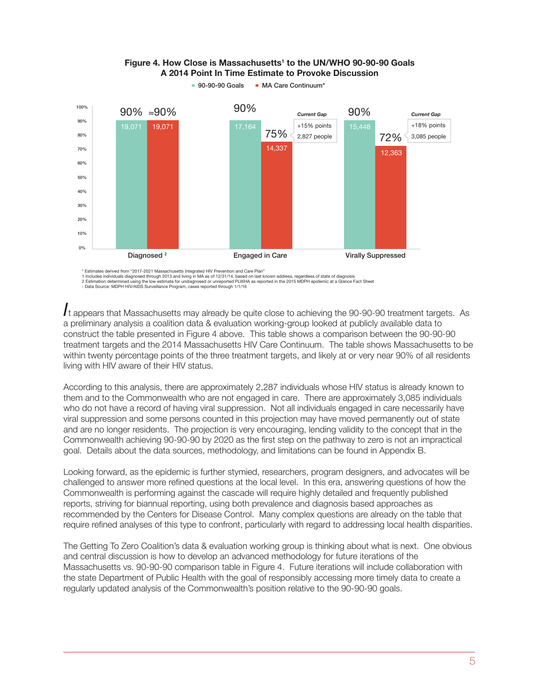### **Figure 4. How Close is Massachusetts1 to the UN/WHO 90-90-90 Goals A 2014 Point In Time Estimate to Provoke Discussion**



 $90-90-90$  Goals  $M = MA$  Care Continuum\*

\* Estimates derived from "2017-2021 Massachusetts Integrated HIV Prevention and Care Plan"

1 Includes individuals diagnosed through 2013 and living in MA as of 12/31/14, based on last known address, regardless of state of diagnosis<br>2 Estimation determined using the low estimate for undiagnosed or unreported PLWH

*I*t appears that Massachusetts may already be quite close to achieving the 90-90-90 treatment targets. As a preliminary analysis a coalition data & evaluation working-group looked at publicly available data to construct the table presented in Figure 4 above. This table shows a comparison between the 90-90-90 treatment targets and the 2014 Massachusetts HIV Care Continuum. The table shows Massachusetts to be within twenty percentage points of the three treatment targets, and likely at or very near 90% of all residents living with HIV aware of their HIV status.

According to this analysis, there are approximately 2,287 individuals whose HIV status is already known to them and to the Commonwealth who are not engaged in care. There are approximately 3,085 individuals who do not have a record of having viral suppression. Not all individuals engaged in care necessarily have viral suppression and some persons counted in this projection may have moved permanently out of state and are no longer residents. The projection is very encouraging, lending validity to the concept that in the Commonwealth achieving 90-90-90 by 2020 as the first step on the pathway to zero is not an impractical goal. Details about the data sources, methodology, and limitations can be found in Appendix B.

Looking forward, as the epidemic is further stymied, researchers, program designers, and advocates will be challenged to answer more refined questions at the local level. In this era, answering questions of how the Commonwealth is performing against the cascade will require highly detailed and frequently published reports, striving for biannual reporting, using both prevalence and diagnosis based approaches as recommended by the Centers for Disease Control. Many complex questions are already on the table that require refined analyses of this type to confront, particularly with regard to addressing local health disparities.

The Getting To Zero Coalition's data & evaluation working group is thinking about what is next. One obvious and central discussion is how to develop an advanced methodology for future iterations of the Massachusetts vs. 90-90-90 comparison table in Figure 4. Future iterations will include collaboration with the state Department of Public Health with the goal of responsibly accessing more timely data to create a regularly updated analysis of the Commonwealth's position relative to the 90-90-90 goals.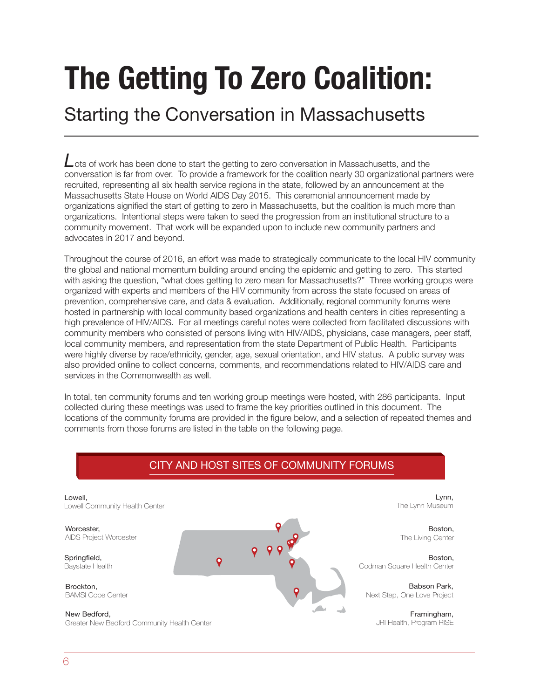# **The Getting To Zero Coalition:**

## Starting the Conversation in Massachusetts

 $L$ ots of work has been done to start the getting to zero conversation in Massachusetts, and the conversation is far from over. To provide a framework for the coalition nearly 30 organizational partners were recruited, representing all six health service regions in the state, followed by an announcement at the Massachusetts State House on World AIDS Day 2015. This ceremonial announcement made by organizations signified the start of getting to zero in Massachusetts, but the coalition is much more than organizations. Intentional steps were taken to seed the progression from an institutional structure to a community movement. That work will be expanded upon to include new community partners and advocates in 2017 and beyond.

Throughout the course of 2016, an effort was made to strategically communicate to the local HIV community the global and national momentum building around ending the epidemic and getting to zero. This started with asking the question, "what does getting to zero mean for Massachusetts?" Three working groups were organized with experts and members of the HIV community from across the state focused on areas of prevention, comprehensive care, and data & evaluation. Additionally, regional community forums were hosted in partnership with local community based organizations and health centers in cities representing a high prevalence of HIV/AIDS. For all meetings careful notes were collected from facilitated discussions with community members who consisted of persons living with HIV/AIDS, physicians, case managers, peer staff, local community members, and representation from the state Department of Public Health. Participants were highly diverse by race/ethnicity, gender, age, sexual orientation, and HIV status. A public survey was also provided online to collect concerns, comments, and recommendations related to HIV/AIDS care and services in the Commonwealth as well.

In total, ten community forums and ten working group meetings were hosted, with 286 participants. Input collected during these meetings was used to frame the key priorities outlined in this document. The locations of the community forums are provided in the figure below, and a selection of repeated themes and comments from those forums are listed in the table on the following page.



## CITY AND HOST SITES OF COMMUNITY FORUMS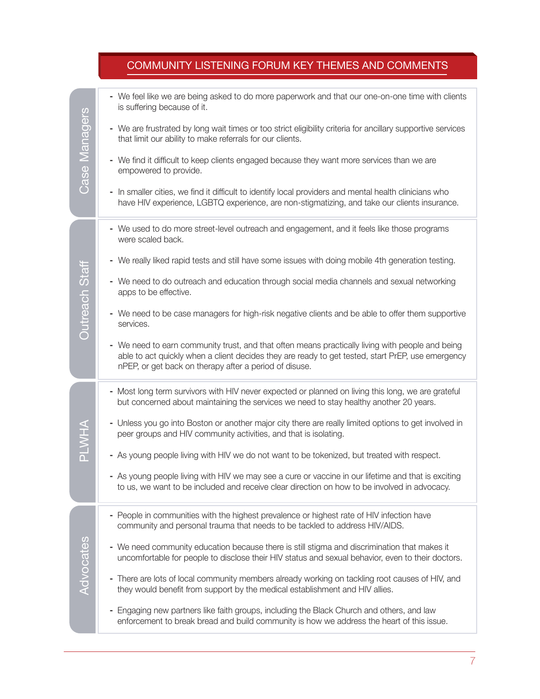|                      | COMMUNITY LISTENING FORUM KEY THEMES AND COMMENTS                                                                                                                                                                                                                                                                                                                                                                                                                                                                                                                                                                                                                                                                                                          |
|----------------------|------------------------------------------------------------------------------------------------------------------------------------------------------------------------------------------------------------------------------------------------------------------------------------------------------------------------------------------------------------------------------------------------------------------------------------------------------------------------------------------------------------------------------------------------------------------------------------------------------------------------------------------------------------------------------------------------------------------------------------------------------------|
| <b>Case Managers</b> | - We feel like we are being asked to do more paperwork and that our one-on-one time with clients<br>is suffering because of it.<br>- We are frustrated by long wait times or too strict eligibility criteria for ancillary supportive services<br>that limit our ability to make referrals for our clients.<br>- We find it difficult to keep clients engaged because they want more services than we are<br>empowered to provide.<br>- In smaller cities, we find it difficult to identify local providers and mental health clinicians who<br>have HIV experience, LGBTQ experience, are non-stigmatizing, and take our clients insurance.                                                                                                               |
| Outreach Staff       | - We used to do more street-level outreach and engagement, and it feels like those programs<br>were scaled back.<br>- We really liked rapid tests and still have some issues with doing mobile 4th generation testing.<br>- We need to do outreach and education through social media channels and sexual networking<br>apps to be effective.<br>- We need to be case managers for high-risk negative clients and be able to offer them supportive<br>services.<br>- We need to earn community trust, and that often means practically living with people and being<br>able to act quickly when a client decides they are ready to get tested, start PrEP, use emergency<br>nPEP, or get back on therapy after a period of disuse.                         |
|                      | - Most long term survivors with HIV never expected or planned on living this long, we are grateful<br>but concerned about maintaining the services we need to stay healthy another 20 years.<br>- Unless you go into Boston or another major city there are really limited options to get involved in<br>peer groups and HIV community activities, and that is isolating.<br>- As young people living with HIV we do not want to be tokenized, but treated with respect.<br>- As young people living with HIV we may see a cure or vaccine in our lifetime and that is exciting<br>to us, we want to be included and receive clear direction on how to be involved in advocacy.                                                                            |
| Advocates            | - People in communities with the highest prevalence or highest rate of HIV infection have<br>community and personal trauma that needs to be tackled to address HIV/AIDS.<br>- We need community education because there is still stigma and discrimination that makes it<br>uncomfortable for people to disclose their HIV status and sexual behavior, even to their doctors.<br>- There are lots of local community members already working on tackling root causes of HIV, and<br>they would benefit from support by the medical establishment and HIV allies.<br>- Engaging new partners like faith groups, including the Black Church and others, and law<br>enforcement to break bread and build community is how we address the heart of this issue. |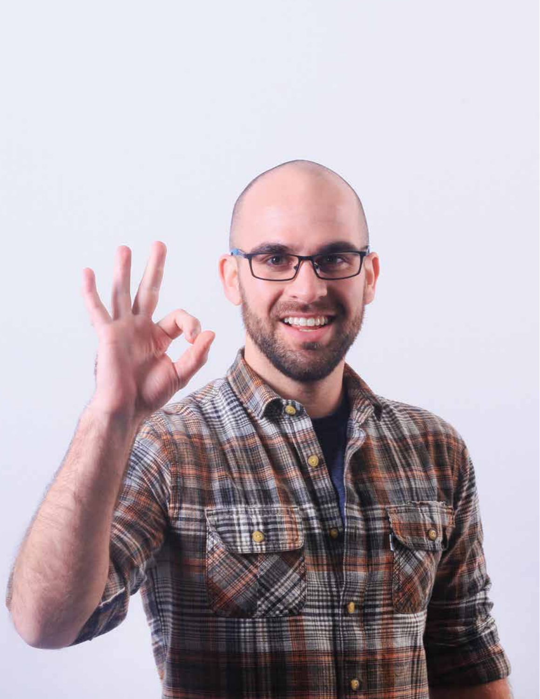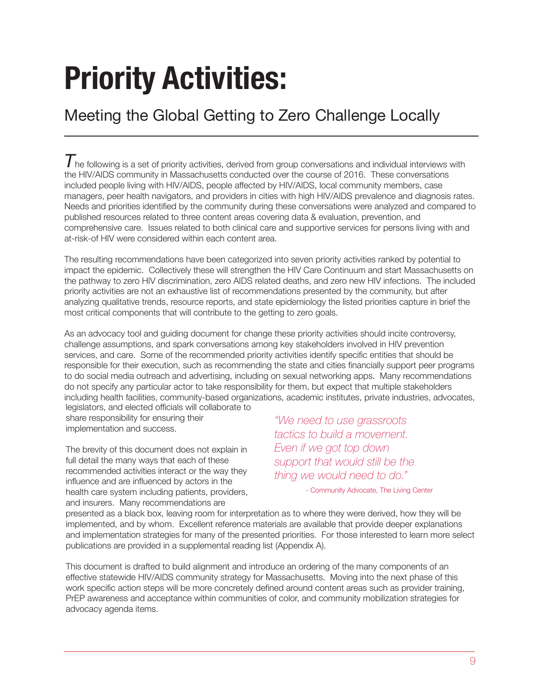# **Priority Activities:**

## Meeting the Global Getting to Zero Challenge Locally

 $\overline{I}$  he following is a set of priority activities, derived from group conversations and individual interviews with the HIV/AIDS community in Massachusetts conducted over the course of 2016. These conversations included people living with HIV/AIDS, people affected by HIV/AIDS, local community members, case managers, peer health navigators, and providers in cities with high HIV/AIDS prevalence and diagnosis rates. Needs and priorities identified by the community during these conversations were analyzed and compared to published resources related to three content areas covering data & evaluation, prevention, and comprehensive care. Issues related to both clinical care and supportive services for persons living with and at-risk-of HIV were considered within each content area.

The resulting recommendations have been categorized into seven priority activities ranked by potential to impact the epidemic. Collectively these will strengthen the HIV Care Continuum and start Massachusetts on the pathway to zero HIV discrimination, zero AIDS related deaths, and zero new HIV infections. The included priority activities are not an exhaustive list of recommendations presented by the community, but after analyzing qualitative trends, resource reports, and state epidemiology the listed priorities capture in brief the most critical components that will contribute to the getting to zero goals.

As an advocacy tool and guiding document for change these priority activities should incite controversy, challenge assumptions, and spark conversations among key stakeholders involved in HIV prevention services, and care. Some of the recommended priority activities identify specific entities that should be responsible for their execution, such as recommending the state and cities financially support peer programs to do social media outreach and advertising, including on sexual networking apps. Many recommendations do not specify any particular actor to take responsibility for them, but expect that multiple stakeholders including health facilities, community-based organizations, academic institutes, private industries, advocates, legislators, and elected officials will collaborate to

share responsibility for ensuring their implementation and success.

The brevity of this document does not explain in full detail the many ways that each of these recommended activities interact or the way they influence and are influenced by actors in the health care system including patients, providers, and insurers. Many recommendations are

*"We need to use grassroots tactics to build a movement. Even if we got top down support that would still be the thing we would need to do."* 

- Community Advocate, The Living Center

presented as a black box, leaving room for interpretation as to where they were derived, how they will be implemented, and by whom. Excellent reference materials are available that provide deeper explanations and implementation strategies for many of the presented priorities. For those interested to learn more select publications are provided in a supplemental reading list (Appendix A).

This document is drafted to build alignment and introduce an ordering of the many components of an effective statewide HIV/AIDS community strategy for Massachusetts. Moving into the next phase of this work specific action steps will be more concretely defined around content areas such as provider training, PrEP awareness and acceptance within communities of color, and community mobilization strategies for advocacy agenda items.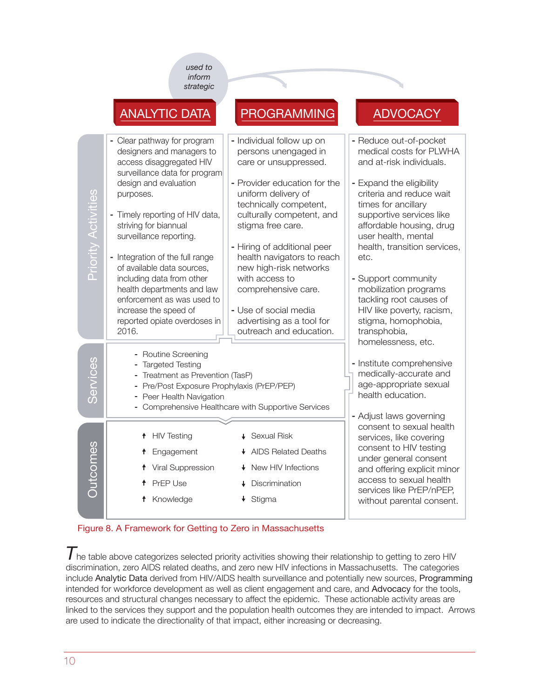*used to inform strategic*

|                            | <b>ANALYTIC DATA</b>                                                                                                                                                                                                                                                                                                                                                                                                                                                           | <b>PROGRAMMING</b>                                                                                                                                                                                                                                                                                                                                                                                                             | <b>ADVOCACY</b>                                                                                                                                                                                                                                                                                                                                                                                                                                          |
|----------------------------|--------------------------------------------------------------------------------------------------------------------------------------------------------------------------------------------------------------------------------------------------------------------------------------------------------------------------------------------------------------------------------------------------------------------------------------------------------------------------------|--------------------------------------------------------------------------------------------------------------------------------------------------------------------------------------------------------------------------------------------------------------------------------------------------------------------------------------------------------------------------------------------------------------------------------|----------------------------------------------------------------------------------------------------------------------------------------------------------------------------------------------------------------------------------------------------------------------------------------------------------------------------------------------------------------------------------------------------------------------------------------------------------|
| <b>Priority Activities</b> | - Clear pathway for program<br>designers and managers to<br>access disaggregated HIV<br>surveillance data for program<br>design and evaluation<br>purposes.<br>- Timely reporting of HIV data,<br>striving for biannual<br>surveillance reporting.<br>- Integration of the full range<br>of available data sources.<br>including data from other<br>health departments and law<br>enforcement as was used to<br>increase the speed of<br>reported opiate overdoses in<br>2016. | - Individual follow up on<br>persons unengaged in<br>care or unsuppressed.<br>- Provider education for the<br>uniform delivery of<br>technically competent,<br>culturally competent, and<br>stigma free care.<br>- Hiring of additional peer<br>health navigators to reach<br>new high-risk networks<br>with access to<br>comprehensive care.<br>- Use of social media<br>advertising as a tool for<br>outreach and education. | - Reduce out-of-pocket<br>medical costs for PLWHA<br>and at-risk individuals.<br>- Expand the eligibility<br>criteria and reduce wait<br>times for ancillary<br>supportive services like<br>affordable housing, drug<br>user health, mental<br>health, transition services,<br>etc.<br>- Support community<br>mobilization programs<br>tackling root causes of<br>HIV like poverty, racism,<br>stigma, homophobia,<br>transphobia,<br>homelessness, etc. |
| Services                   | - Routine Screening<br>- Targeted Testing<br>- Treatment as Prevention (TasP)<br>- Pre/Post Exposure Prophylaxis (PrEP/PEP)<br>- Peer Health Navigation<br>- Comprehensive Healthcare with Supportive Services                                                                                                                                                                                                                                                                 | - Institute comprehensive<br>medically-accurate and<br>age-appropriate sexual<br>health education.<br>- Adjust laws governing                                                                                                                                                                                                                                                                                                  |                                                                                                                                                                                                                                                                                                                                                                                                                                                          |
| <b>Outcomes</b>            | <b>HIV Testing</b><br>↟<br>Engagement<br>↑<br>Viral Suppression<br>PrEP Use<br>Knowledge                                                                                                                                                                                                                                                                                                                                                                                       | <b>Sexual Risk</b><br><b>AIDS Related Deaths</b><br>↓ New HIV Infections<br>Discrimination<br>Stigma                                                                                                                                                                                                                                                                                                                           | consent to sexual health<br>services, like covering<br>consent to HIV testing<br>under general consent<br>and offering explicit minor<br>access to sexual health<br>services like PrEP/nPEP,<br>without parental consent.                                                                                                                                                                                                                                |

### Figure 8. A Framework for Getting to Zero in Massachusetts

 $\overline{I}$  he table above categorizes selected priority activities showing their relationship to getting to zero HIV discrimination, zero AIDS related deaths, and zero new HIV infections in Massachusetts. The categories include Analytic Data derived from HIV/AIDS health surveillance and potentially new sources, Programming intended for workforce development as well as client engagement and care, and Advocacy for the tools, resources and structural changes necessary to affect the epidemic. These actionable activity areas are linked to the services they support and the population health outcomes they are intended to impact. Arrows are used to indicate the directionality of that impact, either increasing or decreasing.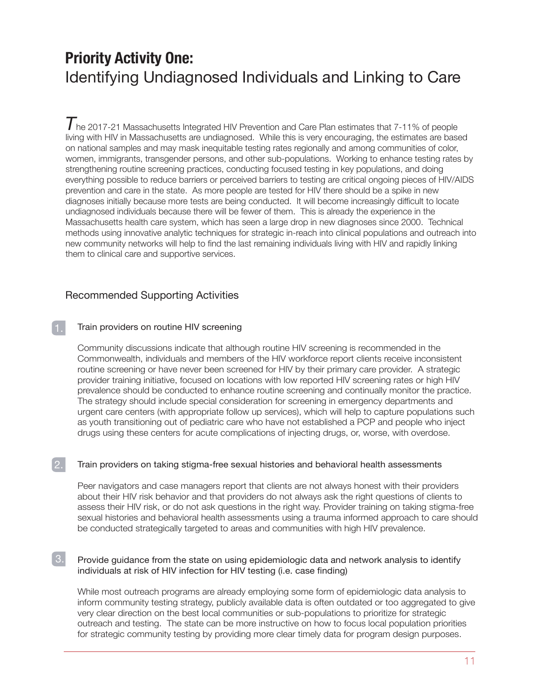## **Priority Activity One:** Identifying Undiagnosed Individuals and Linking to Care

 $\mathcal T$ he 2017-21 Massachusetts Integrated HIV Prevention and Care Plan estimates that 7-11% of people living with HIV in Massachusetts are undiagnosed. While this is very encouraging, the estimates are based on national samples and may mask inequitable testing rates regionally and among communities of color, women, immigrants, transgender persons, and other sub-populations. Working to enhance testing rates by strengthening routine screening practices, conducting focused testing in key populations, and doing everything possible to reduce barriers or perceived barriers to testing are critical ongoing pieces of HIV/AIDS prevention and care in the state. As more people are tested for HIV there should be a spike in new diagnoses initially because more tests are being conducted. It will become increasingly difficult to locate undiagnosed individuals because there will be fewer of them. This is already the experience in the Massachusetts health care system, which has seen a large drop in new diagnoses since 2000. Technical methods using innovative analytic techniques for strategic in-reach into clinical populations and outreach into new community networks will help to find the last remaining individuals living with HIV and rapidly linking them to clinical care and supportive services.

## Recommended Supporting Activities

## Train providers on routine HIV screening

2.

Community discussions indicate that although routine HIV screening is recommended in the Commonwealth, individuals and members of the HIV workforce report clients receive inconsistent routine screening or have never been screened for HIV by their primary care provider. A strategic provider training initiative, focused on locations with low reported HIV screening rates or high HIV prevalence should be conducted to enhance routine screening and continually monitor the practice. The strategy should include special consideration for screening in emergency departments and urgent care centers (with appropriate follow up services), which will help to capture populations such as youth transitioning out of pediatric care who have not established a PCP and people who inject drugs using these centers for acute complications of injecting drugs, or, worse, with overdose.

### Train providers on taking stigma-free sexual histories and behavioral health assessments

Peer navigators and case managers report that clients are not always honest with their providers about their HIV risk behavior and that providers do not always ask the right questions of clients to assess their HIV risk, or do not ask questions in the right way. Provider training on taking stigma-free sexual histories and behavioral health assessments using a trauma informed approach to care should be conducted strategically targeted to areas and communities with high HIV prevalence.

#### 3. Provide guidance from the state on using epidemiologic data and network analysis to identify individuals at risk of HIV infection for HIV testing (i.e. case finding)

While most outreach programs are already employing some form of epidemiologic data analysis to inform community testing strategy, publicly available data is often outdated or too aggregated to give very clear direction on the best local communities or sub-populations to prioritize for strategic outreach and testing. The state can be more instructive on how to focus local population priorities for strategic community testing by providing more clear timely data for program design purposes.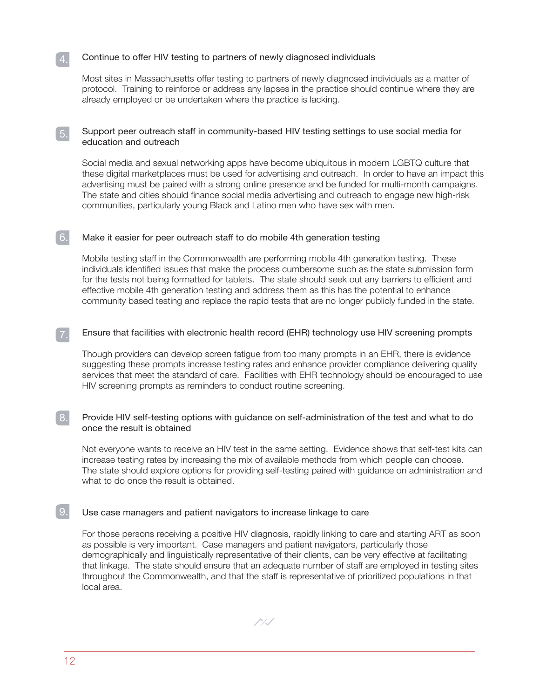#### Continue to offer HIV testing to partners of newly diagnosed individuals 4.

Most sites in Massachusetts offer testing to partners of newly diagnosed individuals as a matter of protocol. Training to reinforce or address any lapses in the practice should continue where they are already employed or be undertaken where the practice is lacking.

#### Support peer outreach staff in community-based HIV testing settings to use social media for education and outreach 5.

Social media and sexual networking apps have become ubiquitous in modern LGBTQ culture that these digital marketplaces must be used for advertising and outreach. In order to have an impact this advertising must be paired with a strong online presence and be funded for multi-month campaigns. The state and cities should finance social media advertising and outreach to engage new high-risk communities, particularly young Black and Latino men who have sex with men.

#### Make it easier for peer outreach staff to do mobile 4th generation testing  $6.$

Mobile testing staff in the Commonwealth are performing mobile 4th generation testing. These individuals identified issues that make the process cumbersome such as the state submission form for the tests not being formatted for tablets. The state should seek out any barriers to efficient and effective mobile 4th generation testing and address them as this has the potential to enhance community based testing and replace the rapid tests that are no longer publicly funded in the state.

#### Ensure that facilities with electronic health record (EHR) technology use HIV screening prompts

Though providers can develop screen fatigue from too many prompts in an EHR, there is evidence suggesting these prompts increase testing rates and enhance provider compliance delivering quality services that meet the standard of care. Facilities with EHR technology should be encouraged to use HIV screening prompts as reminders to conduct routine screening.

#### Provide HIV self-testing options with guidance on self-administration of the test and what to do once the result is obtained  $\boxed{8}$ .

Not everyone wants to receive an HIV test in the same setting. Evidence shows that self-test kits can increase testing rates by increasing the mix of available methods from which people can choose. The state should explore options for providing self-testing paired with guidance on administration and what to do once the result is obtained.

#### Use case managers and patient navigators to increase linkage to care 9.

For those persons receiving a positive HIV diagnosis, rapidly linking to care and starting ART as soon as possible is very important. Case managers and patient navigators, particularly those demographically and linguistically representative of their clients, can be very effective at facilitating that linkage. The state should ensure that an adequate number of staff are employed in testing sites throughout the Commonwealth, and that the staff is representative of prioritized populations in that local area.

P 1.I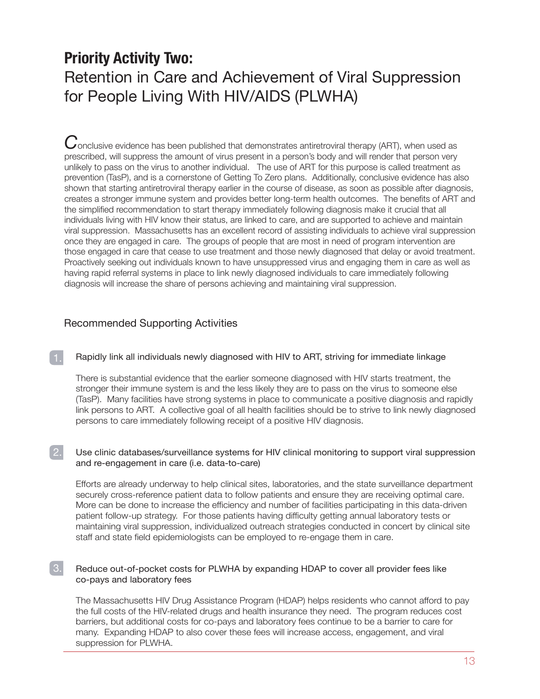## **Priority Activity Two:** Retention in Care and Achievement of Viral Suppression for People Living With HIV/AIDS (PLWHA)

Conclusive evidence has been published that demonstrates antiretroviral therapy (ART), when used as prescribed, will suppress the amount of virus present in a person's body and will render that person very unlikely to pass on the virus to another individual. The use of ART for this purpose is called treatment as prevention (TasP), and is a cornerstone of Getting To Zero plans. Additionally, conclusive evidence has also shown that starting antiretroviral therapy earlier in the course of disease, as soon as possible after diagnosis, creates a stronger immune system and provides better long-term health outcomes. The benefits of ART and the simplified recommendation to start therapy immediately following diagnosis make it crucial that all individuals living with HIV know their status, are linked to care, and are supported to achieve and maintain viral suppression. Massachusetts has an excellent record of assisting individuals to achieve viral suppression once they are engaged in care. The groups of people that are most in need of program intervention are those engaged in care that cease to use treatment and those newly diagnosed that delay or avoid treatment. Proactively seeking out individuals known to have unsuppressed virus and engaging them in care as well as having rapid referral systems in place to link newly diagnosed individuals to care immediately following diagnosis will increase the share of persons achieving and maintaining viral suppression.

## Recommended Supporting Activities

Rapidly link all individuals newly diagnosed with HIV to ART, striving for immediate linkage

There is substantial evidence that the earlier someone diagnosed with HIV starts treatment, the stronger their immune system is and the less likely they are to pass on the virus to someone else (TasP). Many facilities have strong systems in place to communicate a positive diagnosis and rapidly link persons to ART. A collective goal of all health facilities should be to strive to link newly diagnosed persons to care immediately following receipt of a positive HIV diagnosis.

#### $|2.|$ Use clinic databases/surveillance systems for HIV clinical monitoring to support viral suppression and re-engagement in care (i.e. data-to-care)

Efforts are already underway to help clinical sites, laboratories, and the state surveillance department securely cross-reference patient data to follow patients and ensure they are receiving optimal care. More can be done to increase the efficiency and number of facilities participating in this data-driven patient follow-up strategy. For those patients having difficulty getting annual laboratory tests or maintaining viral suppression, individualized outreach strategies conducted in concert by clinical site staff and state field epidemiologists can be employed to re-engage them in care.

#### 3. Reduce out-of-pocket costs for PLWHA by expanding HDAP to cover all provider fees like co-pays and laboratory fees

The Massachusetts HIV Drug Assistance Program (HDAP) helps residents who cannot afford to pay the full costs of the HIV-related drugs and health insurance they need. The program reduces cost barriers, but additional costs for co-pays and laboratory fees continue to be a barrier to care for many. Expanding HDAP to also cover these fees will increase access, engagement, and viral suppression for PLWHA.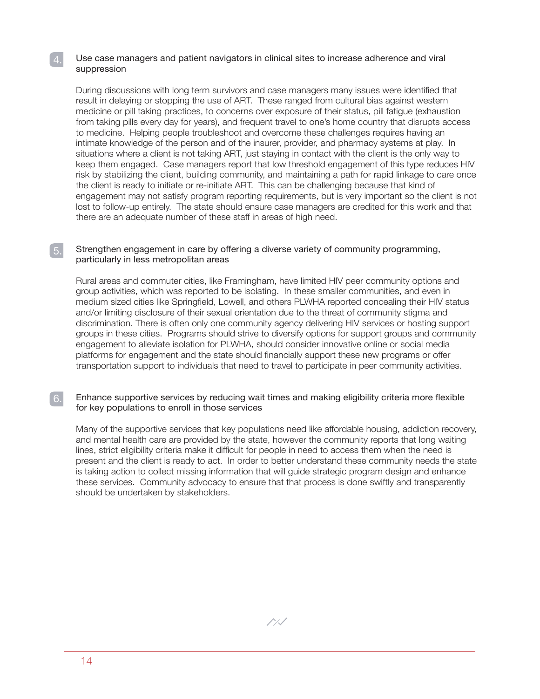#### Use case managers and patient navigators in clinical sites to increase adherence and viral suppression

During discussions with long term survivors and case managers many issues were identified that result in delaying or stopping the use of ART. These ranged from cultural bias against western medicine or pill taking practices, to concerns over exposure of their status, pill fatigue (exhaustion from taking pills every day for years), and frequent travel to one's home country that disrupts access to medicine. Helping people troubleshoot and overcome these challenges requires having an intimate knowledge of the person and of the insurer, provider, and pharmacy systems at play. In situations where a client is not taking ART, just staying in contact with the client is the only way to keep them engaged. Case managers report that low threshold engagement of this type reduces HIV risk by stabilizing the client, building community, and maintaining a path for rapid linkage to care once the client is ready to initiate or re-initiate ART. This can be challenging because that kind of engagement may not satisfy program reporting requirements, but is very important so the client is not lost to follow-up entirely. The state should ensure case managers are credited for this work and that there are an adequate number of these staff in areas of high need.

#### Strengthen engagement in care by offering a diverse variety of community programming, particularly in less metropolitan areas 5.

Rural areas and commuter cities, like Framingham, have limited HIV peer community options and group activities, which was reported to be isolating. In these smaller communities, and even in medium sized cities like Springfield, Lowell, and others PLWHA reported concealing their HIV status and/or limiting disclosure of their sexual orientation due to the threat of community stigma and discrimination. There is often only one community agency delivering HIV services or hosting support groups in these cities. Programs should strive to diversify options for support groups and community engagement to alleviate isolation for PLWHA, should consider innovative online or social media platforms for engagement and the state should financially support these new programs or offer transportation support to individuals that need to travel to participate in peer community activities.

#### Enhance supportive services by reducing wait times and making eligibility criteria more flexible for key populations to enroll in those services 6.

Many of the supportive services that key populations need like affordable housing, addiction recovery, and mental health care are provided by the state, however the community reports that long waiting lines, strict eligibility criteria make it difficult for people in need to access them when the need is present and the client is ready to act. In order to better understand these community needs the state is taking action to collect missing information that will guide strategic program design and enhance these services. Community advocacy to ensure that that process is done swiftly and transparently should be undertaken by stakeholders.

*r* 11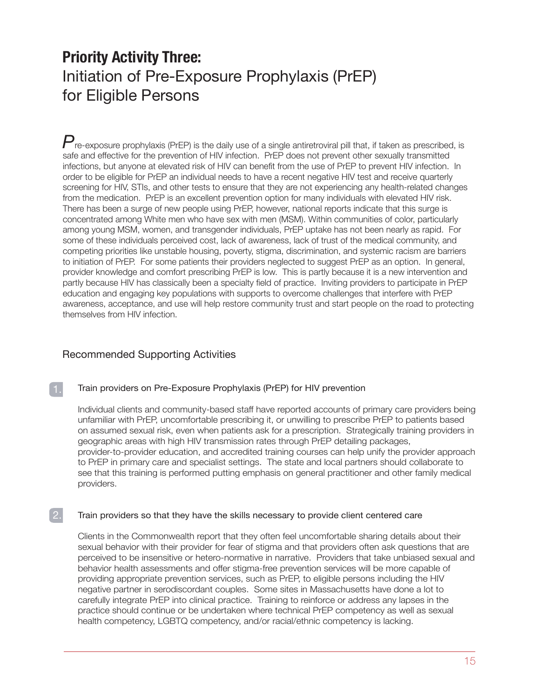## **Priority Activity Three:** Initiation of Pre-Exposure Prophylaxis (PrEP) for Eligible Persons

 $P$ re-exposure prophylaxis (PrEP) is the daily use of a single antiretroviral pill that, if taken as prescribed, is safe and effective for the prevention of HIV infection. PrEP does not prevent other sexually transmitted infections, but anyone at elevated risk of HIV can benefit from the use of PrEP to prevent HIV infection. In order to be eligible for PrEP an individual needs to have a recent negative HIV test and receive quarterly screening for HIV, STIs, and other tests to ensure that they are not experiencing any health-related changes from the medication. PrEP is an excellent prevention option for many individuals with elevated HIV risk. There has been a surge of new people using PrEP, however, national reports indicate that this surge is concentrated among White men who have sex with men (MSM). Within communities of color, particularly among young MSM, women, and transgender individuals, PrEP uptake has not been nearly as rapid. For some of these individuals perceived cost, lack of awareness, lack of trust of the medical community, and competing priorities like unstable housing, poverty, stigma, discrimination, and systemic racism are barriers to initiation of PrEP. For some patients their providers neglected to suggest PrEP as an option. In general, provider knowledge and comfort prescribing PrEP is low. This is partly because it is a new intervention and partly because HIV has classically been a specialty field of practice. Inviting providers to participate in PrEP education and engaging key populations with supports to overcome challenges that interfere with PrEP awareness, acceptance, and use will help restore community trust and start people on the road to protecting themselves from HIV infection.

## Recommended Supporting Activities

## Train providers on Pre-Exposure Prophylaxis (PrEP) for HIV prevention

Individual clients and community-based staff have reported accounts of primary care providers being unfamiliar with PrEP, uncomfortable prescribing it, or unwilling to prescribe PrEP to patients based on assumed sexual risk, even when patients ask for a prescription. Strategically training providers in geographic areas with high HIV transmission rates through PrEP detailing packages, provider-to-provider education, and accredited training courses can help unify the provider approach to PrEP in primary care and specialist settings. The state and local partners should collaborate to see that this training is performed putting emphasis on general practitioner and other family medical providers.

#### Train providers so that they have the skills necessary to provide client centered care 2.

Clients in the Commonwealth report that they often feel uncomfortable sharing details about their sexual behavior with their provider for fear of stigma and that providers often ask questions that are perceived to be insensitive or hetero-normative in narrative. Providers that take unbiased sexual and behavior health assessments and offer stigma-free prevention services will be more capable of providing appropriate prevention services, such as PrEP, to eligible persons including the HIV negative partner in serodiscordant couples. Some sites in Massachusetts have done a lot to carefully integrate PrEP into clinical practice. Training to reinforce or address any lapses in the practice should continue or be undertaken where technical PrEP competency as well as sexual health competency, LGBTQ competency, and/or racial/ethnic competency is lacking.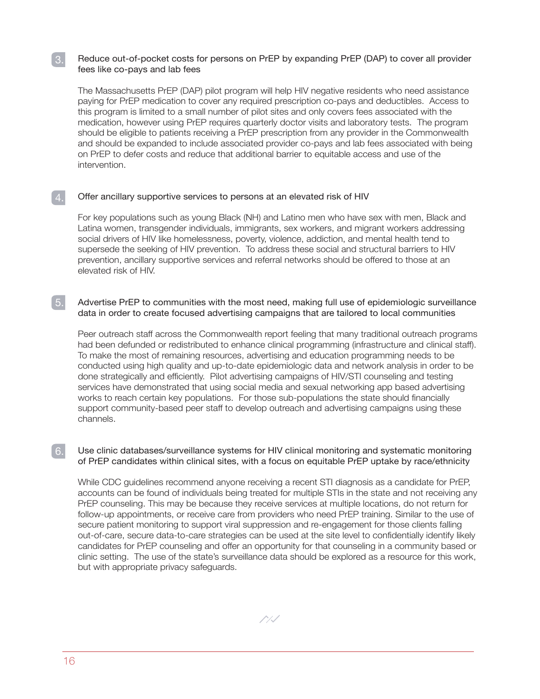#### $\lceil 3 \rceil$ Reduce out-of-pocket costs for persons on PrEP by expanding PrEP (DAP) to cover all provider fees like co-pays and lab fees

The Massachusetts PrEP (DAP) pilot program will help HIV negative residents who need assistance paying for PrEP medication to cover any required prescription co-pays and deductibles. Access to this program is limited to a small number of pilot sites and only covers fees associated with the medication, however using PrEP requires quarterly doctor visits and laboratory tests. The program should be eligible to patients receiving a PrEP prescription from any provider in the Commonwealth and should be expanded to include associated provider co-pays and lab fees associated with being on PrEP to defer costs and reduce that additional barrier to equitable access and use of the intervention.

## Offer ancillary supportive services to persons at an elevated risk of HIV

For key populations such as young Black (NH) and Latino men who have sex with men, Black and Latina women, transgender individuals, immigrants, sex workers, and migrant workers addressing social drivers of HIV like homelessness, poverty, violence, addiction, and mental health tend to supersede the seeking of HIV prevention. To address these social and structural barriers to HIV prevention, ancillary supportive services and referral networks should be offered to those at an elevated risk of HIV.

#### 5. Advertise PrEP to communities with the most need, making full use of epidemiologic surveillance data in order to create focused advertising campaigns that are tailored to local communities

Peer outreach staff across the Commonwealth report feeling that many traditional outreach programs had been defunded or redistributed to enhance clinical programming (infrastructure and clinical staff). To make the most of remaining resources, advertising and education programming needs to be conducted using high quality and up-to-date epidemiologic data and network analysis in order to be done strategically and efficiently. Pilot advertising campaigns of HIV/STI counseling and testing services have demonstrated that using social media and sexual networking app based advertising works to reach certain key populations. For those sub-populations the state should financially support community-based peer staff to develop outreach and advertising campaigns using these channels.

#### $\boxed{6}$ . Use clinic databases/surveillance systems for HIV clinical monitoring and systematic monitoring of PrEP candidates within clinical sites, with a focus on equitable PrEP uptake by race/ethnicity

While CDC guidelines recommend anyone receiving a recent STI diagnosis as a candidate for PrEP, accounts can be found of individuals being treated for multiple STIs in the state and not receiving any PrEP counseling. This may be because they receive services at multiple locations, do not return for follow-up appointments, or receive care from providers who need PrEP training. Similar to the use of secure patient monitoring to support viral suppression and re-engagement for those clients falling out-of-care, secure data-to-care strategies can be used at the site level to confidentially identify likely candidates for PrEP counseling and offer an opportunity for that counseling in a community based or clinic setting. The use of the state's surveillance data should be explored as a resource for this work, but with appropriate privacy safeguards.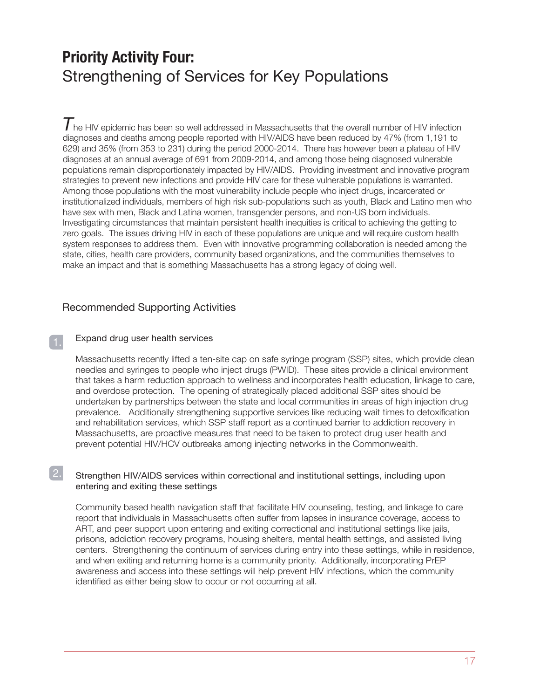## **Priority Activity Four:** Strengthening of Services for Key Populations

 $\mathcal T$ he HIV epidemic has been so well addressed in Massachusetts that the overall number of HIV infection diagnoses and deaths among people reported with HIV/AIDS have been reduced by 47% (from 1,191 to 629) and 35% (from 353 to 231) during the period 2000-2014. There has however been a plateau of HIV diagnoses at an annual average of 691 from 2009-2014, and among those being diagnosed vulnerable populations remain disproportionately impacted by HIV/AIDS. Providing investment and innovative program strategies to prevent new infections and provide HIV care for these vulnerable populations is warranted. Among those populations with the most vulnerability include people who inject drugs, incarcerated or institutionalized individuals, members of high risk sub-populations such as youth, Black and Latino men who have sex with men, Black and Latina women, transgender persons, and non-US born individuals. Investigating circumstances that maintain persistent health inequities is critical to achieving the getting to zero goals. The issues driving HIV in each of these populations are unique and will require custom health system responses to address them. Even with innovative programming collaboration is needed among the state, cities, health care providers, community based organizations, and the communities themselves to make an impact and that is something Massachusetts has a strong legacy of doing well.

## Recommended Supporting Activities

## Expand drug user health services

Massachusetts recently lifted a ten-site cap on safe syringe program (SSP) sites, which provide clean needles and syringes to people who inject drugs (PWID). These sites provide a clinical environment that takes a harm reduction approach to wellness and incorporates health education, linkage to care, and overdose protection. The opening of strategically placed additional SSP sites should be undertaken by partnerships between the state and local communities in areas of high injection drug prevalence. Additionally strengthening supportive services like reducing wait times to detoxification and rehabilitation services, which SSP staff report as a continued barrier to addiction recovery in Massachusetts, are proactive measures that need to be taken to protect drug user health and prevent potential HIV/HCV outbreaks among injecting networks in the Commonwealth.

### Strengthen HIV/AIDS services within correctional and institutional settings, including upon entering and exiting these settings

Community based health navigation staff that facilitate HIV counseling, testing, and linkage to care report that individuals in Massachusetts often suffer from lapses in insurance coverage, access to ART, and peer support upon entering and exiting correctional and institutional settings like jails, prisons, addiction recovery programs, housing shelters, mental health settings, and assisted living centers. Strengthening the continuum of services during entry into these settings, while in residence, and when exiting and returning home is a community priority. Additionally, incorporating PrEP awareness and access into these settings will help prevent HIV infections, which the community identified as either being slow to occur or not occurring at all.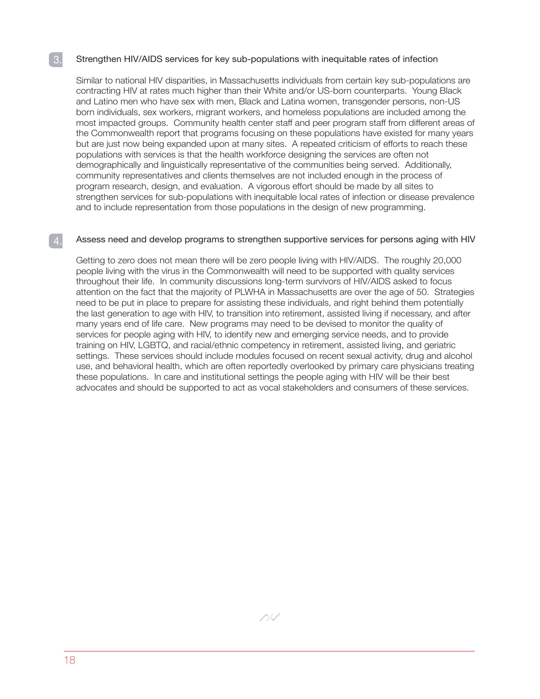#### Strengthen HIV/AIDS services for key sub-populations with inequitable rates of infection 3.

Similar to national HIV disparities, in Massachusetts individuals from certain key sub-populations are contracting HIV at rates much higher than their White and/or US-born counterparts. Young Black and Latino men who have sex with men, Black and Latina women, transgender persons, non-US born individuals, sex workers, migrant workers, and homeless populations are included among the most impacted groups. Community health center staff and peer program staff from different areas of the Commonwealth report that programs focusing on these populations have existed for many years but are just now being expanded upon at many sites. A repeated criticism of efforts to reach these populations with services is that the health workforce designing the services are often not demographically and linguistically representative of the communities being served. Additionally, community representatives and clients themselves are not included enough in the process of program research, design, and evaluation. A vigorous effort should be made by all sites to strengthen services for sub-populations with inequitable local rates of infection or disease prevalence and to include representation from those populations in the design of new programming.

#### Assess need and develop programs to strengthen supportive services for persons aging with HIV

Getting to zero does not mean there will be zero people living with HIV/AIDS. The roughly 20,000 people living with the virus in the Commonwealth will need to be supported with quality services throughout their life. In community discussions long-term survivors of HIV/AIDS asked to focus attention on the fact that the majority of PLWHA in Massachusetts are over the age of 50. Strategies need to be put in place to prepare for assisting these individuals, and right behind them potentially the last generation to age with HIV, to transition into retirement, assisted living if necessary, and after many years end of life care. New programs may need to be devised to monitor the quality of services for people aging with HIV, to identify new and emerging service needs, and to provide training on HIV, LGBTQ, and racial/ethnic competency in retirement, assisted living, and geriatric settings. These services should include modules focused on recent sexual activity, drug and alcohol use, and behavioral health, which are often reportedly overlooked by primary care physicians treating these populations. In care and institutional settings the people aging with HIV will be their best advocates and should be supported to act as vocal stakeholders and consumers of these services.

1 | J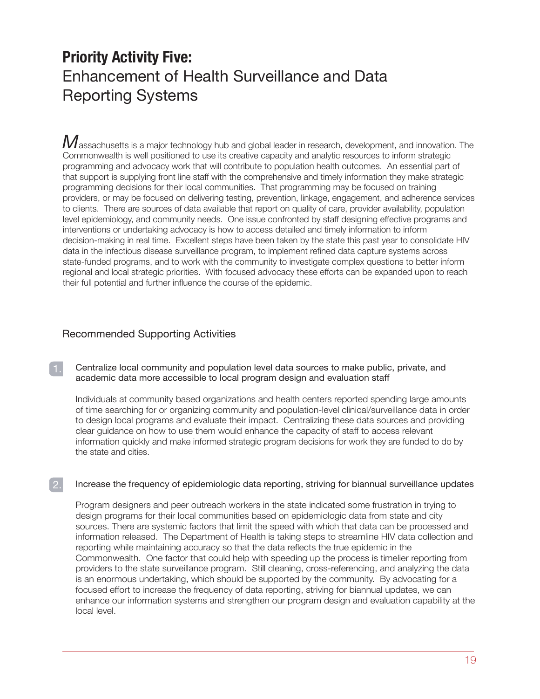## **Priority Activity Five:** Enhancement of Health Surveillance and Data Reporting Systems

 $M$ assachusetts is a major technology hub and global leader in research, development, and innovation. The Commonwealth is well positioned to use its creative capacity and analytic resources to inform strategic programming and advocacy work that will contribute to population health outcomes. An essential part of that support is supplying front line staff with the comprehensive and timely information they make strategic programming decisions for their local communities. That programming may be focused on training providers, or may be focused on delivering testing, prevention, linkage, engagement, and adherence services to clients. There are sources of data available that report on quality of care, provider availability, population level epidemiology, and community needs. One issue confronted by staff designing effective programs and interventions or undertaking advocacy is how to access detailed and timely information to inform decision-making in real time. Excellent steps have been taken by the state this past year to consolidate HIV data in the infectious disease surveillance program, to implement refined data capture systems across state-funded programs, and to work with the community to investigate complex questions to better inform regional and local strategic priorities. With focused advocacy these efforts can be expanded upon to reach their full potential and further influence the course of the epidemic.

## Recommended Supporting Activities

### Centralize local community and population level data sources to make public, private, and academic data more accessible to local program design and evaluation staff

Individuals at community based organizations and health centers reported spending large amounts of time searching for or organizing community and population-level clinical/surveillance data in order to design local programs and evaluate their impact. Centralizing these data sources and providing clear guidance on how to use them would enhance the capacity of staff to access relevant information quickly and make informed strategic program decisions for work they are funded to do by the state and cities.

### Increase the frequency of epidemiologic data reporting, striving for biannual surveillance updates

Program designers and peer outreach workers in the state indicated some frustration in trying to design programs for their local communities based on epidemiologic data from state and city sources. There are systemic factors that limit the speed with which that data can be processed and information released. The Department of Health is taking steps to streamline HIV data collection and reporting while maintaining accuracy so that the data reflects the true epidemic in the Commonwealth. One factor that could help with speeding up the process is timelier reporting from providers to the state surveillance program. Still cleaning, cross-referencing, and analyzing the data is an enormous undertaking, which should be supported by the community. By advocating for a focused effort to increase the frequency of data reporting, striving for biannual updates, we can enhance our information systems and strengthen our program design and evaluation capability at the local level.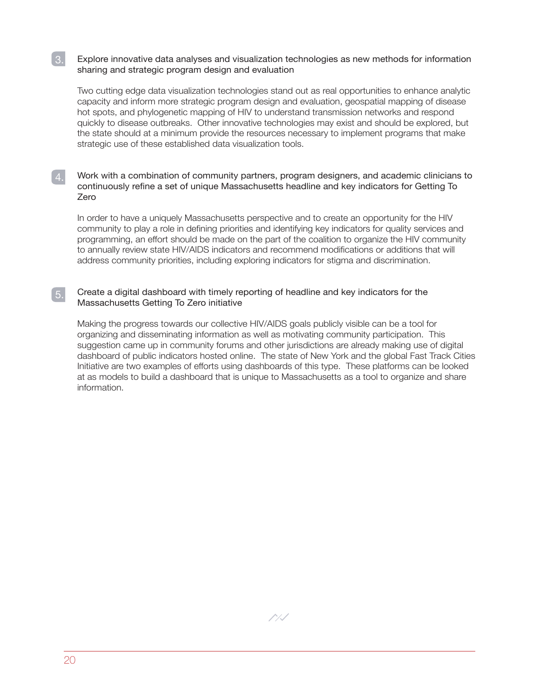#### $\lvert 3 \rvert$ Explore innovative data analyses and visualization technologies as new methods for information sharing and strategic program design and evaluation

Two cutting edge data visualization technologies stand out as real opportunities to enhance analytic capacity and inform more strategic program design and evaluation, geospatial mapping of disease hot spots, and phylogenetic mapping of HIV to understand transmission networks and respond quickly to disease outbreaks. Other innovative technologies may exist and should be explored, but the state should at a minimum provide the resources necessary to implement programs that make strategic use of these established data visualization tools.

### Work with a combination of community partners, program designers, and academic clinicians to continuously refine a set of unique Massachusetts headline and key indicators for Getting To Zero

In order to have a uniquely Massachusetts perspective and to create an opportunity for the HIV community to play a role in defining priorities and identifying key indicators for quality services and programming, an effort should be made on the part of the coalition to organize the HIV community to annually review state HIV/AIDS indicators and recommend modifications or additions that will address community priorities, including exploring indicators for stigma and discrimination.

#### $5.$ Create a digital dashboard with timely reporting of headline and key indicators for the Massachusetts Getting To Zero initiative

Making the progress towards our collective HIV/AIDS goals publicly visible can be a tool for organizing and disseminating information as well as motivating community participation. This suggestion came up in community forums and other jurisdictions are already making use of digital dashboard of public indicators hosted online. The state of New York and the global Fast Track Cities Initiative are two examples of efforts using dashboards of this type. These platforms can be looked at as models to build a dashboard that is unique to Massachusetts as a tool to organize and share information.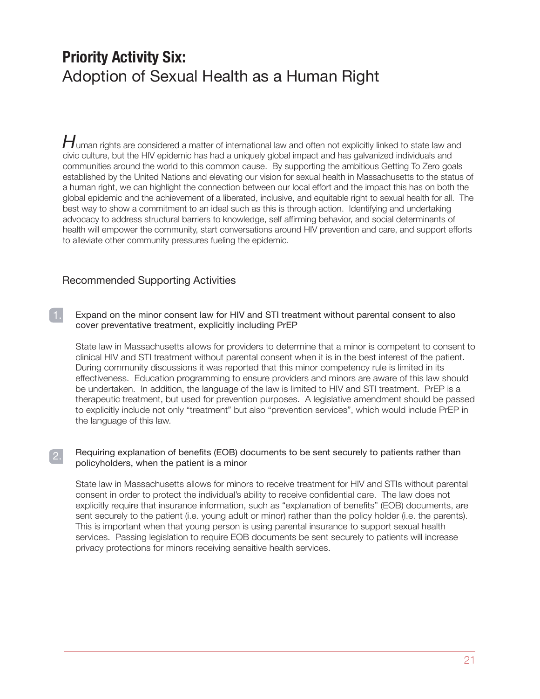## **Priority Activity Six:** Adoption of Sexual Health as a Human Right

 $H$ uman rights are considered a matter of international law and often not explicitly linked to state law and civic culture, but the HIV epidemic has had a uniquely global impact and has galvanized individuals and communities around the world to this common cause. By supporting the ambitious Getting To Zero goals established by the United Nations and elevating our vision for sexual health in Massachusetts to the status of a human right, we can highlight the connection between our local effort and the impact this has on both the global epidemic and the achievement of a liberated, inclusive, and equitable right to sexual health for all. The best way to show a commitment to an ideal such as this is through action. Identifying and undertaking advocacy to address structural barriers to knowledge, self affirming behavior, and social determinants of health will empower the community, start conversations around HIV prevention and care, and support efforts to alleviate other community pressures fueling the epidemic.

## Recommended Supporting Activities

Expand on the minor consent law for HIV and STI treatment without parental consent to also cover preventative treatment, explicitly including PrEP

State law in Massachusetts allows for providers to determine that a minor is competent to consent to clinical HIV and STI treatment without parental consent when it is in the best interest of the patient. During community discussions it was reported that this minor competency rule is limited in its effectiveness. Education programming to ensure providers and minors are aware of this law should be undertaken. In addition, the language of the law is limited to HIV and STI treatment. PrEP is a therapeutic treatment, but used for prevention purposes. A legislative amendment should be passed to explicitly include not only "treatment" but also "prevention services", which would include PrEP in the language of this law.

#### 2. Requiring explanation of benefits (EOB) documents to be sent securely to patients rather than policyholders, when the patient is a minor

State law in Massachusetts allows for minors to receive treatment for HIV and STIs without parental consent in order to protect the individual's ability to receive confidential care. The law does not explicitly require that insurance information, such as "explanation of benefits" (EOB) documents, are sent securely to the patient (i.e. young adult or minor) rather than the policy holder (i.e. the parents). This is important when that young person is using parental insurance to support sexual health services. Passing legislation to require EOB documents be sent securely to patients will increase privacy protections for minors receiving sensitive health services.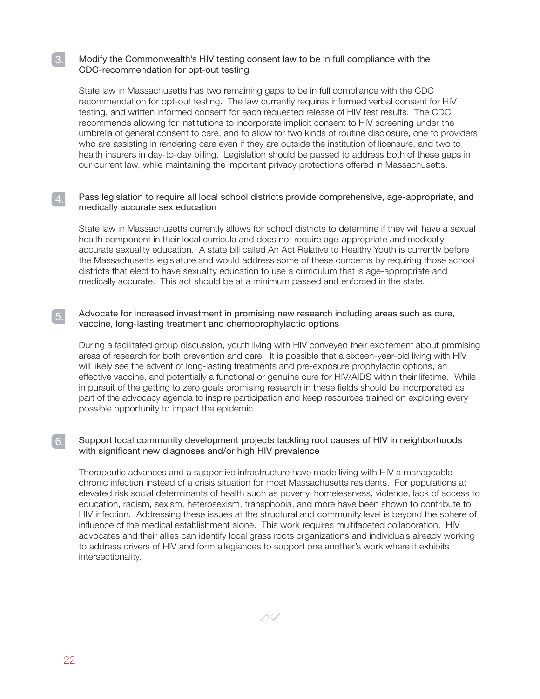#### $\lceil 3 \rceil$ Modify the Commonwealth's HIV testing consent law to be in full compliance with the CDC-recommendation for opt-out testing

State law in Massachusetts has two remaining gaps to be in full compliance with the CDC recommendation for opt-out testing. The law currently requires informed verbal consent for HIV testing, and written informed consent for each requested release of HIV test results. The CDC recommends allowing for institutions to incorporate implicit consent to HIV screening under the umbrella of general consent to care, and to allow for two kinds of routine disclosure, one to providers who are assisting in rendering care even if they are outside the institution of licensure, and two to health insurers in day-to-day billing. Legislation should be passed to address both of these gaps in our current law, while maintaining the important privacy protections offered in Massachusetts.

#### $\boxed{4}$ . Pass legislation to require all local school districts provide comprehensive, age-appropriate, and medically accurate sex education

State law in Massachusetts currently allows for school districts to determine if they will have a sexual health component in their local curricula and does not require age-appropriate and medically accurate sexuality education. A state bill called An Act Relative to Healthy Youth is currently before the Massachusetts legislature and would address some of these concerns by requiring those school districts that elect to have sexuality education to use a curriculum that is age-appropriate and medically accurate. This act should be at a minimum passed and enforced in the state.

#### 5. Advocate for increased investment in promising new research including areas such as cure, vaccine, long-lasting treatment and chemoprophylactic options

During a facilitated group discussion, youth living with HIV conveyed their excitement about promising areas of research for both prevention and care. It is possible that a sixteen-year-old living with HIV will likely see the advent of long-lasting treatments and pre-exposure prophylactic options, an effective vaccine, and potentially a functional or genuine cure for HIV/AIDS within their lifetime. While in pursuit of the getting to zero goals promising research in these fields should be incorporated as part of the advocacy agenda to inspire participation and keep resources trained on exploring every possible opportunity to impact the epidemic.

#### $\boxed{6}$ . Support local community development projects tackling root causes of HIV in neighborhoods with significant new diagnoses and/or high HIV prevalence

Therapeutic advances and a supportive infrastructure have made living with HIV a manageable chronic infection instead of a crisis situation for most Massachusetts residents. For populations at elevated risk social determinants of health such as poverty, homelessness, violence, lack of access to education, racism, sexism, heterosexism, transphobia, and more have been shown to contribute to HIV infection. Addressing these issues at the structural and community level is beyond the sphere of influence of the medical establishment alone. This work requires multifaceted collaboration. HIV advocates and their allies can identify local grass roots organizations and individuals already working to address drivers of HIV and form allegiances to support one another's work where it exhibits intersectionality.

1 I S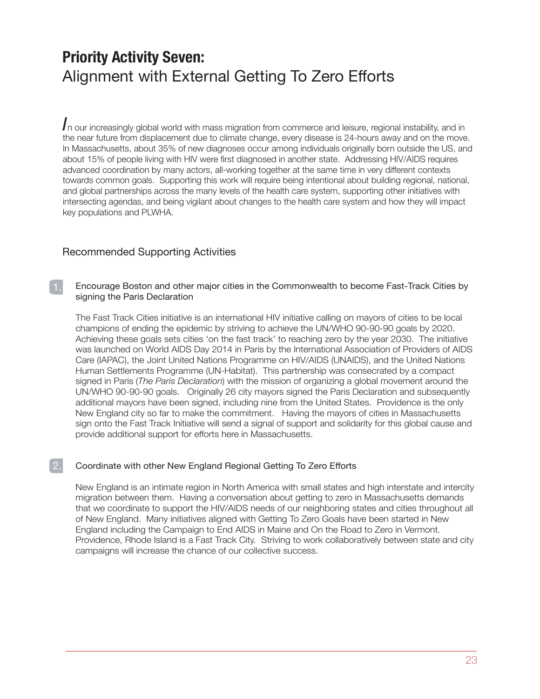## **Priority Activity Seven:** Alignment with External Getting To Zero Efforts

*I*n our increasingly global world with mass migration from commerce and leisure, regional instability, and in the near future from displacement due to climate change, every disease is 24-hours away and on the move. In Massachusetts, about 35% of new diagnoses occur among individuals originally born outside the US, and about 15% of people living with HIV were first diagnosed in another state. Addressing HIV/AIDS requires advanced coordination by many actors, all-working together at the same time in very different contexts towards common goals. Supporting this work will require being intentional about building regional, national, and global partnerships across the many levels of the health care system, supporting other initiatives with intersecting agendas, and being vigilant about changes to the health care system and how they will impact key populations and PLWHA.

## Recommended Supporting Activities

### Encourage Boston and other major cities in the Commonwealth to become Fast-Track Cities by signing the Paris Declaration

The Fast Track Cities initiative is an international HIV initiative calling on mayors of cities to be local champions of ending the epidemic by striving to achieve the UN/WHO 90-90-90 goals by 2020. Achieving these goals sets cities 'on the fast track' to reaching zero by the year 2030. The initiative was launched on World AIDS Day 2014 in Paris by the International Association of Providers of AIDS Care (IAPAC), the Joint United Nations Programme on HIV/AIDS (UNAIDS), and the United Nations Human Settlements Programme (UN-Habitat). This partnership was consecrated by a compact signed in Paris (*The Paris Declaration*) with the mission of organizing a global movement around the UN/WHO 90-90-90 goals. Originally 26 city mayors signed the Paris Declaration and subsequently additional mayors have been signed, including nine from the United States. Providence is the only New England city so far to make the commitment. Having the mayors of cities in Massachusetts sign onto the Fast Track Initiative will send a signal of support and solidarity for this global cause and provide additional support for efforts here in Massachusetts.

## Coordinate with other New England Regional Getting To Zero Efforts

New England is an intimate region in North America with small states and high interstate and intercity migration between them. Having a conversation about getting to zero in Massachusetts demands that we coordinate to support the HIV/AIDS needs of our neighboring states and cities throughout all of New England. Many initiatives aligned with Getting To Zero Goals have been started in New England including the Campaign to End AIDS in Maine and On the Road to Zero in Vermont. Providence, Rhode Island is a Fast Track City. Striving to work collaboratively between state and city campaigns will increase the chance of our collective success.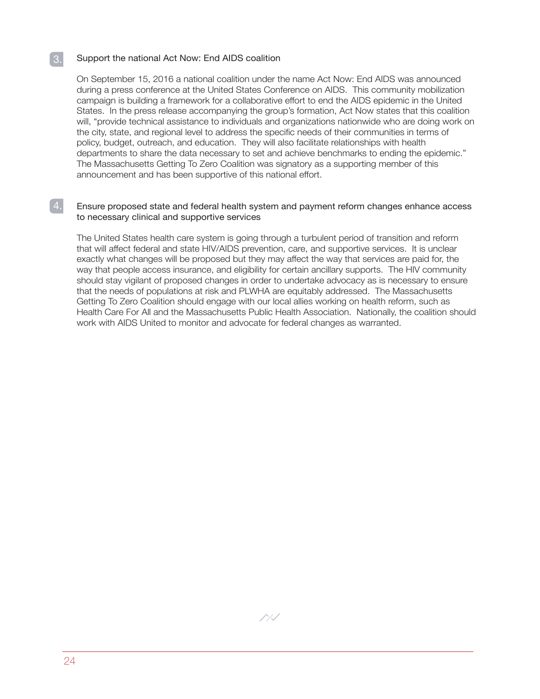### Support the national Act Now: End AIDS coalition

 $\lceil 3 \rceil$ 

On September 15, 2016 a national coalition under the name Act Now: End AIDS was announced during a press conference at the United States Conference on AIDS. This community mobilization campaign is building a framework for a collaborative effort to end the AIDS epidemic in the United States. In the press release accompanying the group's formation, Act Now states that this coalition will, "provide technical assistance to individuals and organizations nationwide who are doing work on the city, state, and regional level to address the specific needs of their communities in terms of policy, budget, outreach, and education. They will also facilitate relationships with health departments to share the data necessary to set and achieve benchmarks to ending the epidemic." The Massachusetts Getting To Zero Coalition was signatory as a supporting member of this announcement and has been supportive of this national effort.

#### Ensure proposed state and federal health system and payment reform changes enhance access to necessary clinical and supportive services

The United States health care system is going through a turbulent period of transition and reform that will affect federal and state HIV/AIDS prevention, care, and supportive services. It is unclear exactly what changes will be proposed but they may affect the way that services are paid for, the way that people access insurance, and eligibility for certain ancillary supports. The HIV community should stay vigilant of proposed changes in order to undertake advocacy as is necessary to ensure that the needs of populations at risk and PLWHA are equitably addressed. The Massachusetts Getting To Zero Coalition should engage with our local allies working on health reform, such as Health Care For All and the Massachusetts Public Health Association. Nationally, the coalition should work with AIDS United to monitor and advocate for federal changes as warranted.

ノメ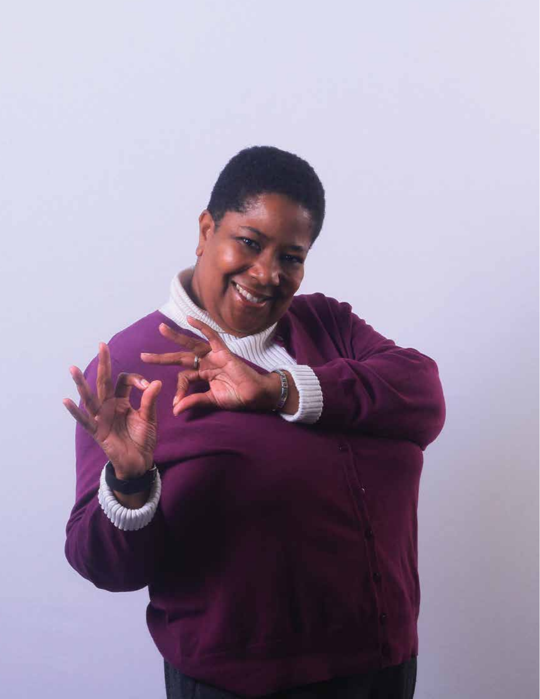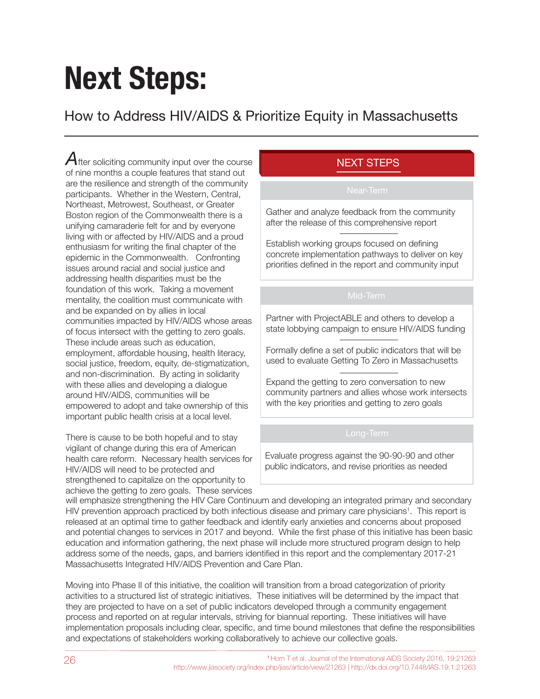# **Next Steps:**

How to Address HIV/AIDS & Prioritize Equity in Massachusetts

*A*fter soliciting community input over the course of nine months a couple features that stand out are the resilience and strength of the community participants. Whether in the Western, Central, Northeast, Metrowest, Southeast, or Greater Boston region of the Commonwealth there is a unifying camaraderie felt for and by everyone living with or affected by HIV/AIDS and a proud enthusiasm for writing the final chapter of the epidemic in the Commonwealth. Confronting issues around racial and social justice and addressing health disparities must be the foundation of this work. Taking a movement mentality, the coalition must communicate with and be expanded on by allies in local communities impacted by HIV/AIDS whose areas of focus intersect with the getting to zero goals. These include areas such as education, employment, affordable housing, health literacy, social justice, freedom, equity, de-stigmatization, and non-discrimination. By acting in solidarity with these allies and developing a dialogue around HIV/AIDS, communities will be empowered to adopt and take ownership of this important public health crisis at a local level.

There is cause to be both hopeful and to stay vigilant of change during this era of American health care reform. Necessary health services for HIV/AIDS will need to be protected and strengthened to capitalize on the opportunity to achieve the getting to zero goals. These services

## NEXT STEPS

Gather and analyze feedback from the community after the release of this comprehensive report

Establish working groups focused on defining concrete implementation pathways to deliver on key priorities defined in the report and community input

Partner with ProjectABLE and others to develop a state lobbying campaign to ensure HIV/AIDS funding

Formally define a set of public indicators that will be used to evaluate Getting To Zero in Massachusetts

Expand the getting to zero conversation to new community partners and allies whose work intersects with the key priorities and getting to zero goals

Evaluate progress against the 90-90-90 and other public indicators, and revise priorities as needed

will emphasize strengthening the HIV Care Continuum and developing an integrated primary and secondary HIV prevention approach practiced by both infectious disease and primary care physicians<sup>1</sup>. This report is released at an optimal time to gather feedback and identify early anxieties and concerns about proposed and potential changes to services in 2017 and beyond. While the first phase of this initiative has been basic education and information gathering, the next phase will include more structured program design to help address some of the needs, gaps, and barriers identified in this report and the complementary 2017-21 Massachusetts Integrated HIV/AIDS Prevention and Care Plan.

Moving into Phase II of this initiative, the coalition will transition from a broad categorization of priority activities to a structured list of strategic initiatives. These initiatives will be determined by the impact that they are projected to have on a set of public indicators developed through a community engagement process and reported on at regular intervals, striving for biannual reporting. These initiatives will have implementation proposals including clear, specific, and time bound milestones that define the responsibilities and expectations of stakeholders working collaboratively to achieve our collective goals.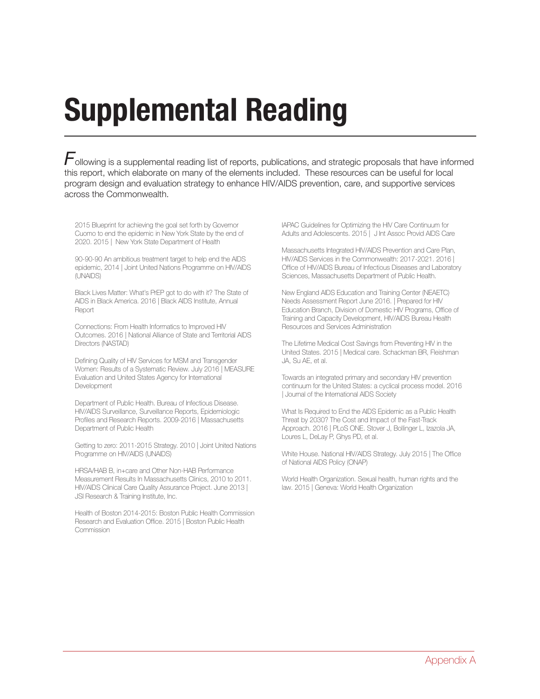# **Supplemental Reading**

 $F$ ollowing is a supplemental reading list of reports, publications, and strategic proposals that have informed this report, which elaborate on many of the elements included. These resources can be useful for local program design and evaluation strategy to enhance HIV/AIDS prevention, care, and supportive services across the Commonwealth.

2015 Blueprint for achieving the goal set forth by Governor Cuomo to end the epidemic in New York State by the end of 2020. 2015 | New York State Department of Health

90-90-90 An ambitious treatment target to help end the AIDS epidemic, 2014 | Joint United Nations Programme on HIV/AIDS (UNAIDS)

Black Lives Matter: What's PrEP got to do with it? The State of AIDS in Black America. 2016 | Black AIDS Institute, Annual Report

Connections: From Health Informatics to Improved HIV Outcomes. 2016 | National Alliance of State and Territorial AIDS Directors (NASTAD)

Defining Quality of HIV Services for MSM and Transgender Women: Results of a Systematic Review. July 2016 | MEASURE Evaluation and United States Agency for International Development

Department of Public Health. Bureau of Infectious Disease. HIV/AIDS Surveillance, Surveillance Reports, Epidemiologic Profiles and Research Reports. 2009-2016 | Massachusetts Department of Public Health

Getting to zero: 2011-2015 Strategy. 2010 | Joint United Nations Programme on HIV/AIDS (UNAIDS)

HRSA/HAB B, in+care and Other Non-HAB Performance Measurement Results In Massachusetts Clinics, 2010 to 2011. HIV/AIDS Clinical Care Quality Assurance Project. June 2013 | JSI Research & Training Institute, Inc.

Health of Boston 2014-2015: Boston Public Health Commission Research and Evaluation Office. 2015 | Boston Public Health Commission

IAPAC Guidelines for Optimizing the HIV Care Continuum for Adults and Adolescents. 2015 | J Int Assoc Provid AIDS Care

Massachusetts Integrated HIV/AIDS Prevention and Care Plan, HIV/AIDS Services in the Commonwealth: 2017-2021. 2016 | Office of HIV/AIDS Bureau of Infectious Diseases and Laboratory Sciences, Massachusetts Department of Public Health.

New England AIDS Education and Training Center (NEAETC) Needs Assessment Report June 2016. | Prepared for HIV Education Branch, Division of Domestic HIV Programs, Office of Training and Capacity Development, HIV/AIDS Bureau Health Resources and Services Administration

The Lifetime Medical Cost Savings from Preventing HIV in the United States. 2015 | Medical care. Schackman BR, Fleishman JA, Su AE, et al.

Towards an integrated primary and secondary HIV prevention continuum for the United States: a cyclical process model. 2016 | Journal of the International AIDS Society

What Is Required to End the AIDS Epidemic as a Public Health Threat by 2030? The Cost and Impact of the Fast-Track Approach. 2016 | PLoS ONE. Stover J, Bollinger L, Izazola JA, Loures L, DeLay P, Ghys PD, et al.

White House. National HIV/AIDS Strategy. July 2015 | The Office of National AIDS Policy (ONAP)

World Health Organization. Sexual health, human rights and the law. 2015 | Geneva: World Health Organization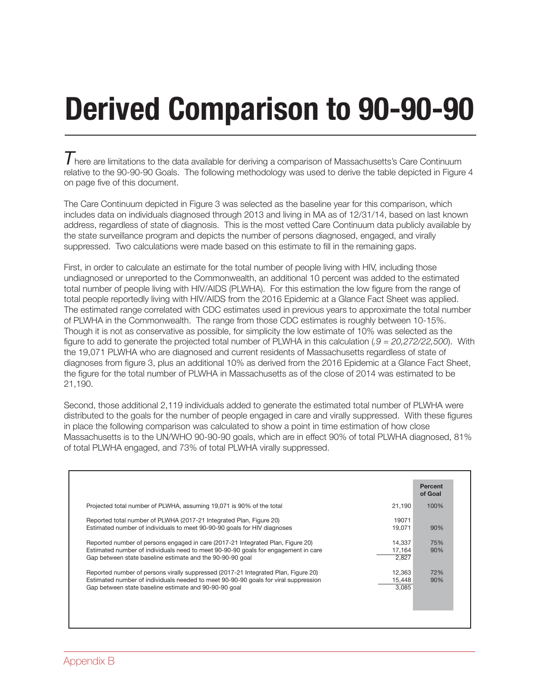# **Derived Comparison to 90-90-90**

 $\mathcal T$ here are limitations to the data available for deriving a comparison of Massachusetts's Care Continuum relative to the 90-90-90 Goals. The following methodology was used to derive the table depicted in Figure 4 on page five of this document.

The Care Continuum depicted in Figure 3 was selected as the baseline year for this comparison, which includes data on individuals diagnosed through 2013 and living in MA as of 12/31/14, based on last known address, regardless of state of diagnosis. This is the most vetted Care Continuum data publicly available by the state surveillance program and depicts the number of persons diagnosed, engaged, and virally suppressed. Two calculations were made based on this estimate to fill in the remaining gaps.

First, in order to calculate an estimate for the total number of people living with HIV, including those undiagnosed or unreported to the Commonwealth, an additional 10 percent was added to the estimated total number of people living with HIV/AIDS (PLWHA). For this estimation the low figure from the range of total people reportedly living with HIV/AIDS from the 2016 Epidemic at a Glance Fact Sheet was applied. The estimated range correlated with CDC estimates used in previous years to approximate the total number of PLWHA in the Commonwealth. The range from those CDC estimates is roughly between 10-15%. Though it is not as conservative as possible, for simplicity the low estimate of 10% was selected as the figure to add to generate the projected total number of PLWHA in this calculation (*.9 = 20,272/22,500*). With the 19,071 PLWHA who are diagnosed and current residents of Massachusetts regardless of state of diagnoses from figure 3, plus an additional 10% as derived from the 2016 Epidemic at a Glance Fact Sheet, the figure for the total number of PLWHA in Massachusetts as of the close of 2014 was estimated to be 21,190.

Second, those additional 2,119 individuals added to generate the estimated total number of PLWHA were distributed to the goals for the number of people engaged in care and virally suppressed. With these figures in place the following comparison was calculated to show a point in time estimation of how close Massachusetts is to the UN/WHO 90-90-90 goals, which are in effect 90% of total PLWHA diagnosed, 81% of total PLWHA engaged, and 73% of total PLWHA virally suppressed.

| Projected total number of PLWHA, assuming 19,071 is 90% of the total<br>21,190<br>$100\%$<br>19071<br>Reported total number of PLWHA (2017-21 Integrated Plan, Figure 20)<br>Estimated number of individuals to meet 90-90-90 goals for HIV diagnoses<br>19,071<br>90%<br>14,337<br>Reported number of persons engaged in care (2017-21 Integrated Plan, Figure 20)<br>75%<br>Estimated number of individuals need to meet 90-90-90 goals for engagement in care<br>17,164<br>90%<br>2,827<br>Gap between state baseline estimate and the 90-90-90 goal<br>Reported number of persons virally suppressed (2017-21 Integrated Plan, Figure 20)<br>12,363<br>72%<br>Estimated number of individuals needed to meet 90-90-90 goals for viral suppression<br>15,448<br>90%<br>Gap between state baseline estimate and 90-90-90 goal<br>3,085 |  | Percent<br>of Goal |
|------------------------------------------------------------------------------------------------------------------------------------------------------------------------------------------------------------------------------------------------------------------------------------------------------------------------------------------------------------------------------------------------------------------------------------------------------------------------------------------------------------------------------------------------------------------------------------------------------------------------------------------------------------------------------------------------------------------------------------------------------------------------------------------------------------------------------------------|--|--------------------|
|                                                                                                                                                                                                                                                                                                                                                                                                                                                                                                                                                                                                                                                                                                                                                                                                                                          |  |                    |
|                                                                                                                                                                                                                                                                                                                                                                                                                                                                                                                                                                                                                                                                                                                                                                                                                                          |  |                    |
|                                                                                                                                                                                                                                                                                                                                                                                                                                                                                                                                                                                                                                                                                                                                                                                                                                          |  |                    |
|                                                                                                                                                                                                                                                                                                                                                                                                                                                                                                                                                                                                                                                                                                                                                                                                                                          |  |                    |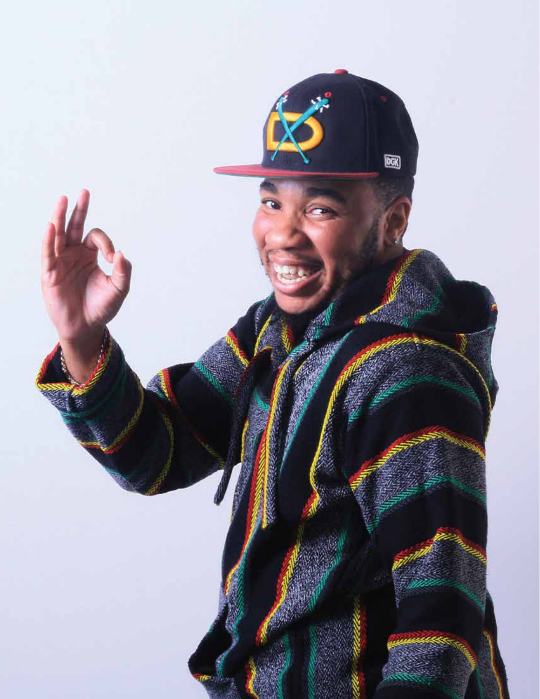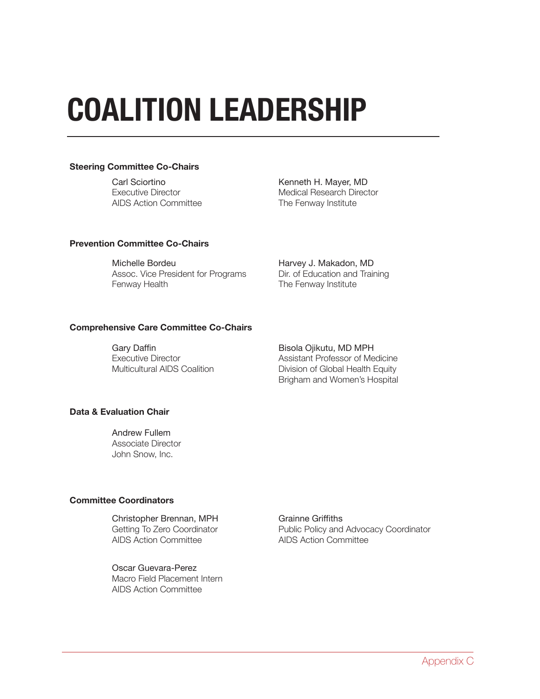# **COALITION LEADERSHIP**

#### **Steering Committee Co-Chairs**

Carl Sciortino Executive Director AIDS Action Committee Kenneth H. Mayer, MD Medical Research Director The Fenway Institute

#### **Prevention Committee Co-Chairs**

Michelle Bordeu Assoc. Vice President for Programs Fenway Health

Harvey J. Makadon, MD Dir. of Education and Training The Fenway Institute

### **Comprehensive Care Committee Co-Chairs**

Gary Daffin Executive Director Multicultural AIDS Coalition Bisola Ojikutu, MD MPH Assistant Professor of Medicine Division of Global Health Equity Brigham and Women's Hospital

### **Data & Evaluation Chair**

Andrew Fullem Associate Director John Snow, Inc.

## **Committee Coordinators**

Christopher Brennan, MPH Getting To Zero Coordinator AIDS Action Committee

Oscar Guevara-Perez Macro Field Placement Intern AIDS Action Committee

Grainne Griffiths Public Policy and Advocacy Coordinator AIDS Action Committee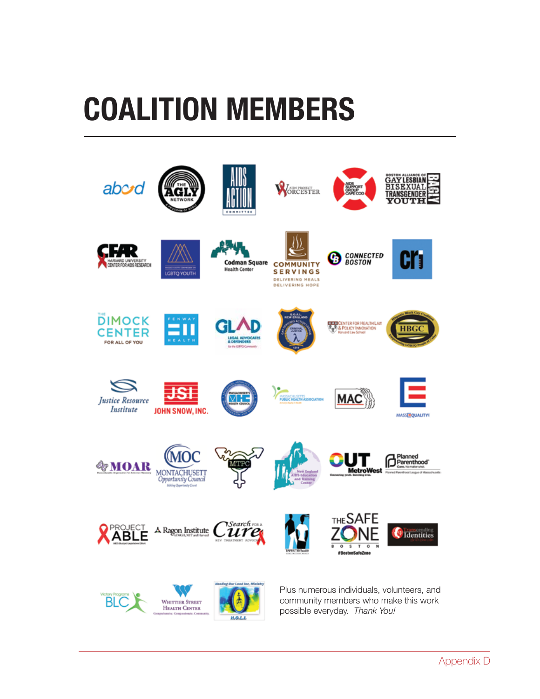# **COALITION MEMBERS**